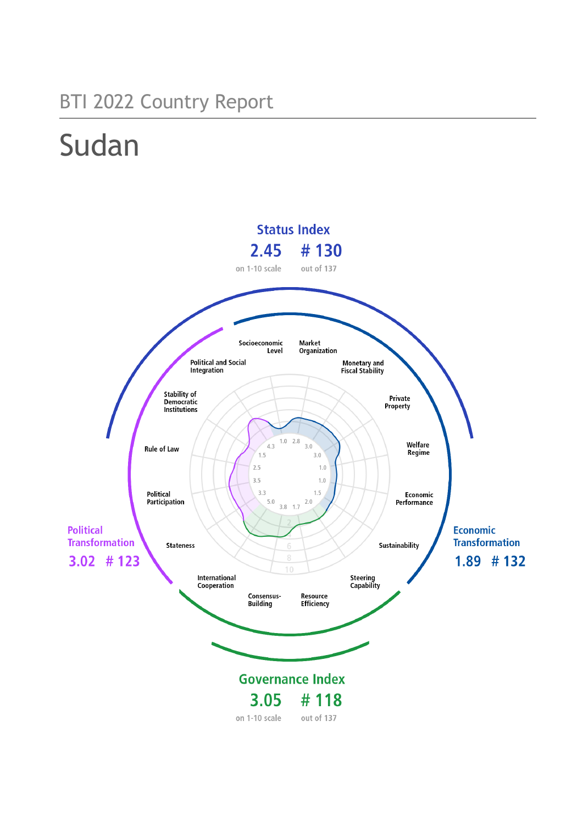# BTI 2022 Country Report

# Sudan

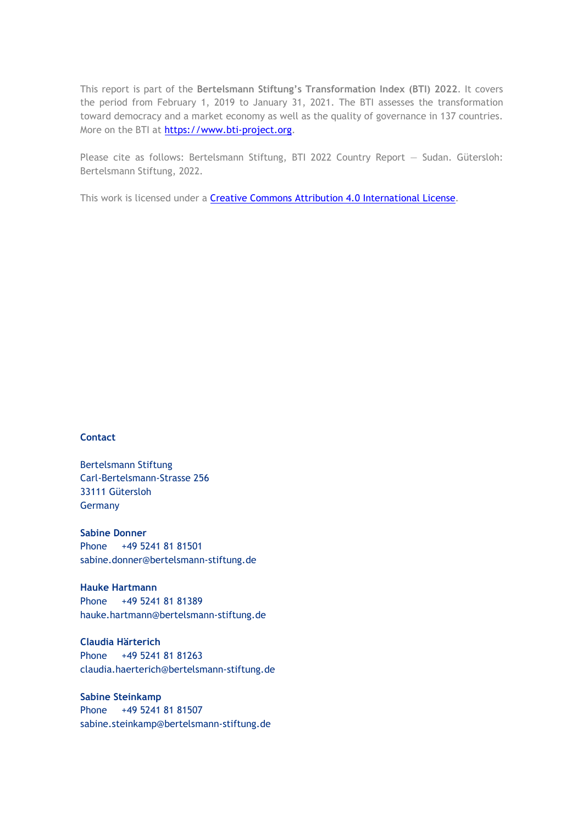This report is part of the **Bertelsmann Stiftung's Transformation Index (BTI) 2022**. It covers the period from February 1, 2019 to January 31, 2021. The BTI assesses the transformation toward democracy and a market economy as well as the quality of governance in 137 countries. More on the BTI at [https://www.bti-project.org.](https://www.bti-project.org/)

Please cite as follows: Bertelsmann Stiftung, BTI 2022 Country Report — Sudan. Gütersloh: Bertelsmann Stiftung, 2022.

This work is licensed under a **Creative Commons Attribution 4.0 International License**.

#### **Contact**

Bertelsmann Stiftung Carl-Bertelsmann-Strasse 256 33111 Gütersloh Germany

**Sabine Donner** Phone +49 5241 81 81501 sabine.donner@bertelsmann-stiftung.de

**Hauke Hartmann** Phone +49 5241 81 81389 hauke.hartmann@bertelsmann-stiftung.de

**Claudia Härterich** Phone +49 5241 81 81263 claudia.haerterich@bertelsmann-stiftung.de

#### **Sabine Steinkamp** Phone +49 5241 81 81507 sabine.steinkamp@bertelsmann-stiftung.de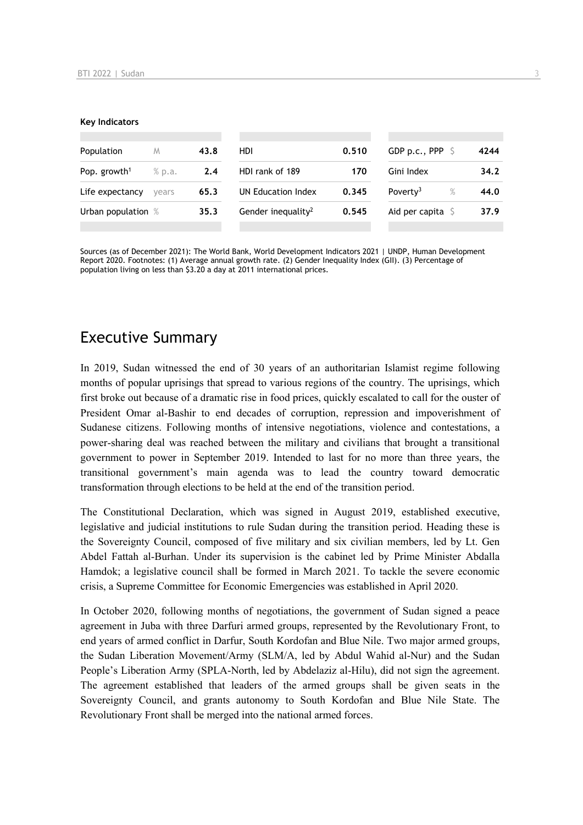#### **Key Indicators**

| Population               | M      | 43.8 | HDI                            | 0.510 | GDP p.c., PPP $\ S$          | 4244 |
|--------------------------|--------|------|--------------------------------|-------|------------------------------|------|
| Pop. growth <sup>1</sup> | % p.a. | 2.4  | HDI rank of 189                | 170   | Gini Index                   | 34.2 |
| Life expectancy          | vears  | 65.3 | UN Education Index             | 0.345 | Poverty <sup>3</sup><br>$\%$ | 44.0 |
| Urban population %       |        | 35.3 | Gender inequality <sup>2</sup> | 0.545 | Aid per capita $\mathsf S$   | 37.9 |
|                          |        |      |                                |       |                              |      |

Sources (as of December 2021): The World Bank, World Development Indicators 2021 | UNDP, Human Development Report 2020. Footnotes: (1) Average annual growth rate. (2) Gender Inequality Index (GII). (3) Percentage of population living on less than \$3.20 a day at 2011 international prices.

# Executive Summary

In 2019, Sudan witnessed the end of 30 years of an authoritarian Islamist regime following months of popular uprisings that spread to various regions of the country. The uprisings, which first broke out because of a dramatic rise in food prices, quickly escalated to call for the ouster of President Omar al-Bashir to end decades of corruption, repression and impoverishment of Sudanese citizens. Following months of intensive negotiations, violence and contestations, a power-sharing deal was reached between the military and civilians that brought a transitional government to power in September 2019. Intended to last for no more than three years, the transitional government's main agenda was to lead the country toward democratic transformation through elections to be held at the end of the transition period.

The Constitutional Declaration, which was signed in August 2019, established executive, legislative and judicial institutions to rule Sudan during the transition period. Heading these is the Sovereignty Council, composed of five military and six civilian members, led by Lt. Gen Abdel Fattah al-Burhan. Under its supervision is the cabinet led by Prime Minister Abdalla Hamdok; a legislative council shall be formed in March 2021. To tackle the severe economic crisis, a Supreme Committee for Economic Emergencies was established in April 2020.

In October 2020, following months of negotiations, the government of Sudan signed a peace agreement in Juba with three Darfuri armed groups, represented by the Revolutionary Front, to end years of armed conflict in Darfur, South Kordofan and Blue Nile. Two major armed groups, the Sudan Liberation Movement/Army (SLM/A, led by Abdul Wahid al-Nur) and the Sudan People's Liberation Army (SPLA-North, led by Abdelaziz al-Hilu), did not sign the agreement. The agreement established that leaders of the armed groups shall be given seats in the Sovereignty Council, and grants autonomy to South Kordofan and Blue Nile State. The Revolutionary Front shall be merged into the national armed forces.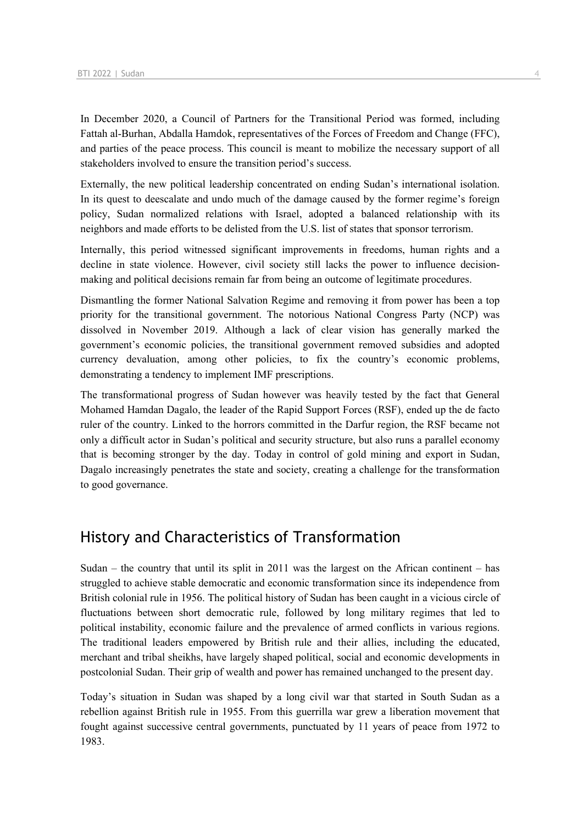In December 2020, a Council of Partners for the Transitional Period was formed, including Fattah al-Burhan, Abdalla Hamdok, representatives of the Forces of Freedom and Change (FFC), and parties of the peace process. This council is meant to mobilize the necessary support of all stakeholders involved to ensure the transition period's success.

Externally, the new political leadership concentrated on ending Sudan's international isolation. In its quest to deescalate and undo much of the damage caused by the former regime's foreign policy, Sudan normalized relations with Israel, adopted a balanced relationship with its neighbors and made efforts to be delisted from the U.S. list of states that sponsor terrorism.

Internally, this period witnessed significant improvements in freedoms, human rights and a decline in state violence. However, civil society still lacks the power to influence decisionmaking and political decisions remain far from being an outcome of legitimate procedures.

Dismantling the former National Salvation Regime and removing it from power has been a top priority for the transitional government. The notorious National Congress Party (NCP) was dissolved in November 2019. Although a lack of clear vision has generally marked the government's economic policies, the transitional government removed subsidies and adopted currency devaluation, among other policies, to fix the country's economic problems, demonstrating a tendency to implement IMF prescriptions.

The transformational progress of Sudan however was heavily tested by the fact that General Mohamed Hamdan Dagalo, the leader of the Rapid Support Forces (RSF), ended up the de facto ruler of the country. Linked to the horrors committed in the Darfur region, the RSF became not only a difficult actor in Sudan's political and security structure, but also runs a parallel economy that is becoming stronger by the day. Today in control of gold mining and export in Sudan, Dagalo increasingly penetrates the state and society, creating a challenge for the transformation to good governance.

# History and Characteristics of Transformation

Sudan – the country that until its split in 2011 was the largest on the African continent – has struggled to achieve stable democratic and economic transformation since its independence from British colonial rule in 1956. The political history of Sudan has been caught in a vicious circle of fluctuations between short democratic rule, followed by long military regimes that led to political instability, economic failure and the prevalence of armed conflicts in various regions. The traditional leaders empowered by British rule and their allies, including the educated, merchant and tribal sheikhs, have largely shaped political, social and economic developments in postcolonial Sudan. Their grip of wealth and power has remained unchanged to the present day.

Today's situation in Sudan was shaped by a long civil war that started in South Sudan as a rebellion against British rule in 1955. From this guerrilla war grew a liberation movement that fought against successive central governments, punctuated by 11 years of peace from 1972 to 1983.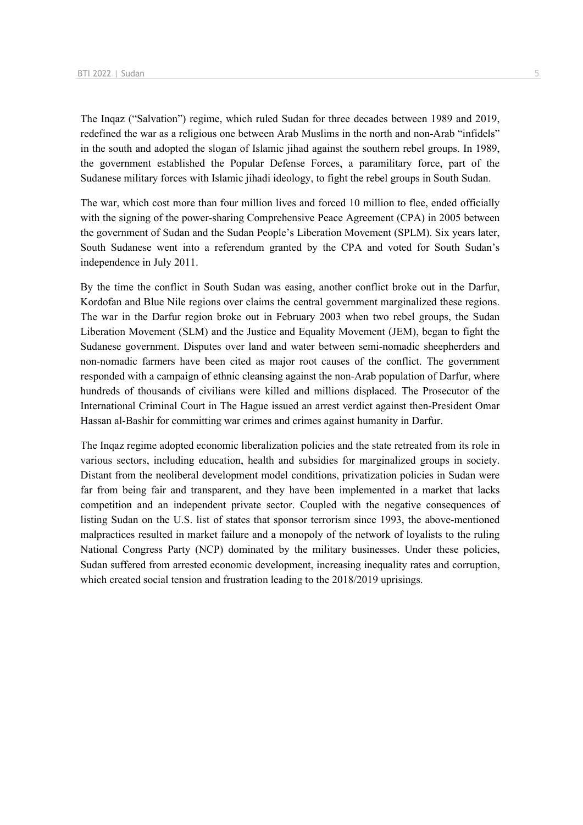The Inqaz ("Salvation") regime, which ruled Sudan for three decades between 1989 and 2019, redefined the war as a religious one between Arab Muslims in the north and non-Arab "infidels" in the south and adopted the slogan of Islamic jihad against the southern rebel groups. In 1989, the government established the Popular Defense Forces, a paramilitary force, part of the Sudanese military forces with Islamic jihadi ideology, to fight the rebel groups in South Sudan.

The war, which cost more than four million lives and forced 10 million to flee, ended officially with the signing of the power-sharing Comprehensive Peace Agreement (CPA) in 2005 between the government of Sudan and the Sudan People's Liberation Movement (SPLM). Six years later, South Sudanese went into a referendum granted by the CPA and voted for South Sudan's independence in July 2011.

By the time the conflict in South Sudan was easing, another conflict broke out in the Darfur, Kordofan and Blue Nile regions over claims the central government marginalized these regions. The war in the Darfur region broke out in February 2003 when two rebel groups, the Sudan Liberation Movement (SLM) and the Justice and Equality Movement (JEM), began to fight the Sudanese government. Disputes over land and water between semi-nomadic sheepherders and non-nomadic farmers have been cited as major root causes of the conflict. The government responded with a campaign of ethnic cleansing against the non-Arab population of Darfur, where hundreds of thousands of civilians were killed and millions displaced. The Prosecutor of the International Criminal Court in The Hague issued an arrest verdict against then-President Omar Hassan al-Bashir for committing war crimes and crimes against humanity in Darfur.

The Inqaz regime adopted economic liberalization policies and the state retreated from its role in various sectors, including education, health and subsidies for marginalized groups in society. Distant from the neoliberal development model conditions, privatization policies in Sudan were far from being fair and transparent, and they have been implemented in a market that lacks competition and an independent private sector. Coupled with the negative consequences of listing Sudan on the U.S. list of states that sponsor terrorism since 1993, the above-mentioned malpractices resulted in market failure and a monopoly of the network of loyalists to the ruling National Congress Party (NCP) dominated by the military businesses. Under these policies, Sudan suffered from arrested economic development, increasing inequality rates and corruption, which created social tension and frustration leading to the 2018/2019 uprisings.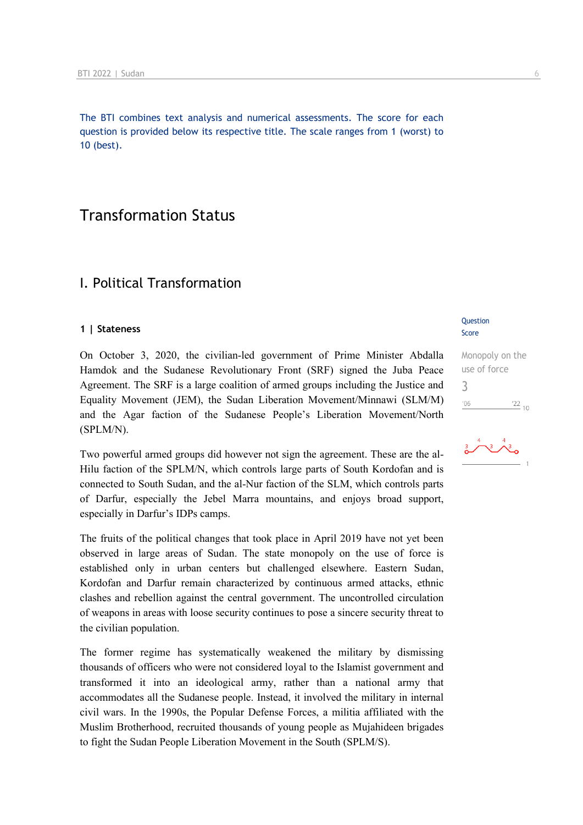The BTI combines text analysis and numerical assessments. The score for each question is provided below its respective title. The scale ranges from 1 (worst) to 10 (best).

# Transformation Status

### I. Political Transformation

#### **1 | Stateness**

On October 3, 2020, the civilian-led government of Prime Minister Abdalla Hamdok and the Sudanese Revolutionary Front (SRF) signed the Juba Peace Agreement. The SRF is a large coalition of armed groups including the Justice and Equality Movement (JEM), the Sudan Liberation Movement/Minnawi (SLM/M) and the Agar faction of the Sudanese People's Liberation Movement/North (SPLM/N).

Two powerful armed groups did however not sign the agreement. These are the al-Hilu faction of the SPLM/N, which controls large parts of South Kordofan and is connected to South Sudan, and the al-Nur faction of the SLM, which controls parts of Darfur, especially the Jebel Marra mountains, and enjoys broad support, especially in Darfur's IDPs camps.

The fruits of the political changes that took place in April 2019 have not yet been observed in large areas of Sudan. The state monopoly on the use of force is established only in urban centers but challenged elsewhere. Eastern Sudan, Kordofan and Darfur remain characterized by continuous armed attacks, ethnic clashes and rebellion against the central government. The uncontrolled circulation of weapons in areas with loose security continues to pose a sincere security threat to the civilian population.

The former regime has systematically weakened the military by dismissing thousands of officers who were not considered loyal to the Islamist government and transformed it into an ideological army, rather than a national army that accommodates all the Sudanese people. Instead, it involved the military in internal civil wars. In the 1990s, the Popular Defense Forces, a militia affiliated with the Muslim Brotherhood, recruited thousands of young people as Mujahideen brigades to fight the Sudan People Liberation Movement in the South (SPLM/S).

#### Question Score

Monopoly on the use of force 3 $\frac{22}{10}$  $'06$ 

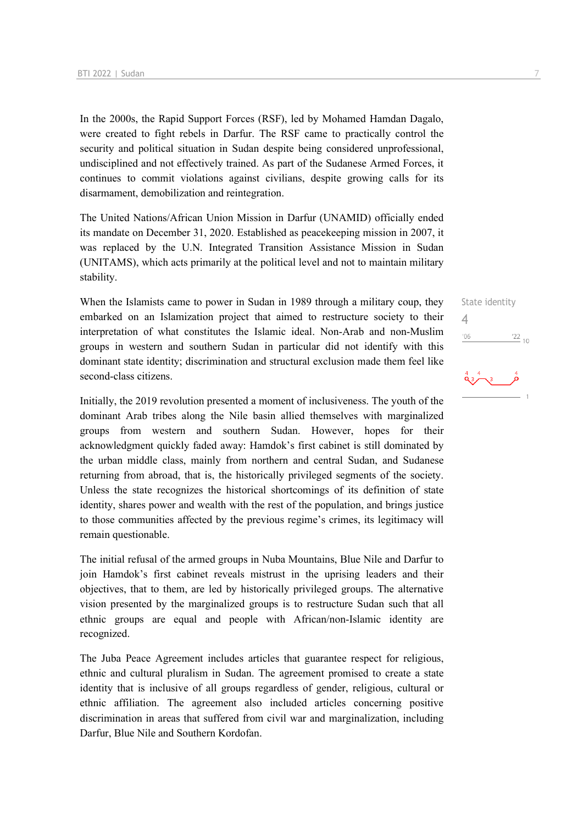In the 2000s, the Rapid Support Forces (RSF), led by Mohamed Hamdan Dagalo, were created to fight rebels in Darfur. The RSF came to practically control the security and political situation in Sudan despite being considered unprofessional, undisciplined and not effectively trained. As part of the Sudanese Armed Forces, it continues to commit violations against civilians, despite growing calls for its disarmament, demobilization and reintegration.

The United Nations/African Union Mission in Darfur (UNAMID) officially ended its mandate on December 31, 2020. Established as peacekeeping mission in 2007, it was replaced by the U.N. Integrated Transition Assistance Mission in Sudan (UNITAMS), which acts primarily at the political level and not to maintain military stability.

When the Islamists came to power in Sudan in 1989 through a military coup, they embarked on an Islamization project that aimed to restructure society to their interpretation of what constitutes the Islamic ideal. Non-Arab and non-Muslim groups in western and southern Sudan in particular did not identify with this dominant state identity; discrimination and structural exclusion made them feel like second-class citizens.

Initially, the 2019 revolution presented a moment of inclusiveness. The youth of the dominant Arab tribes along the Nile basin allied themselves with marginalized groups from western and southern Sudan. However, hopes for their acknowledgment quickly faded away: Hamdok's first cabinet is still dominated by the urban middle class, mainly from northern and central Sudan, and Sudanese returning from abroad, that is, the historically privileged segments of the society. Unless the state recognizes the historical shortcomings of its definition of state identity, shares power and wealth with the rest of the population, and brings justice to those communities affected by the previous regime's crimes, its legitimacy will remain questionable.

The initial refusal of the armed groups in Nuba Mountains, Blue Nile and Darfur to join Hamdok's first cabinet reveals mistrust in the uprising leaders and their objectives, that to them, are led by historically privileged groups. The alternative vision presented by the marginalized groups is to restructure Sudan such that all ethnic groups are equal and people with African/non-Islamic identity are recognized.

The Juba Peace Agreement includes articles that guarantee respect for religious, ethnic and cultural pluralism in Sudan. The agreement promised to create a state identity that is inclusive of all groups regardless of gender, religious, cultural or ethnic affiliation. The agreement also included articles concerning positive discrimination in areas that suffered from civil war and marginalization, including Darfur, Blue Nile and Southern Kordofan.

State identity 4 $\frac{22}{10}$  $'06$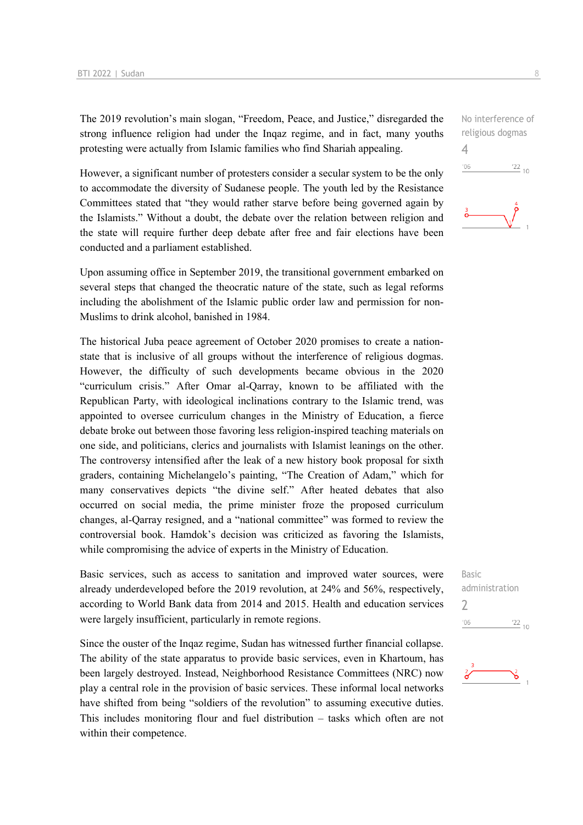The 2019 revolution's main slogan, "Freedom, Peace, and Justice," disregarded the strong influence religion had under the Inqaz regime, and in fact, many youths protesting were actually from Islamic families who find Shariah appealing.

However, a significant number of protesters consider a secular system to be the only to accommodate the diversity of Sudanese people. The youth led by the Resistance Committees stated that "they would rather starve before being governed again by the Islamists." Without a doubt, the debate over the relation between religion and the state will require further deep debate after free and fair elections have been conducted and a parliament established.

Upon assuming office in September 2019, the transitional government embarked on several steps that changed the theocratic nature of the state, such as legal reforms including the abolishment of the Islamic public order law and permission for non-Muslims to drink alcohol, banished in 1984.

The historical Juba peace agreement of October 2020 promises to create a nationstate that is inclusive of all groups without the interference of religious dogmas. However, the difficulty of such developments became obvious in the 2020 "curriculum crisis." After Omar al-Qarray, known to be affiliated with the Republican Party, with ideological inclinations contrary to the Islamic trend, was appointed to oversee curriculum changes in the Ministry of Education, a fierce debate broke out between those favoring less religion-inspired teaching materials on one side, and politicians, clerics and journalists with Islamist leanings on the other. The controversy intensified after the leak of a new history book proposal for sixth graders, containing Michelangelo's painting, "The Creation of Adam," which for many conservatives depicts "the divine self." After heated debates that also occurred on social media, the prime minister froze the proposed curriculum changes, al-Qarray resigned, and a "national committee" was formed to review the controversial book. Hamdok's decision was criticized as favoring the Islamists, while compromising the advice of experts in the Ministry of Education.

Basic services, such as access to sanitation and improved water sources, were already underdeveloped before the 2019 revolution, at 24% and 56%, respectively, according to World Bank data from 2014 and 2015. Health and education services were largely insufficient, particularly in remote regions.

Since the ouster of the Inqaz regime, Sudan has witnessed further financial collapse. The ability of the state apparatus to provide basic services, even in Khartoum, has been largely destroyed. Instead, Neighborhood Resistance Committees (NRC) now play a central role in the provision of basic services. These informal local networks have shifted from being "soldiers of the revolution" to assuming executive duties. This includes monitoring flour and fuel distribution – tasks which often are not within their competence.

No interference of religious dogmas 4  $-06$  $\frac{22}{10}$ 



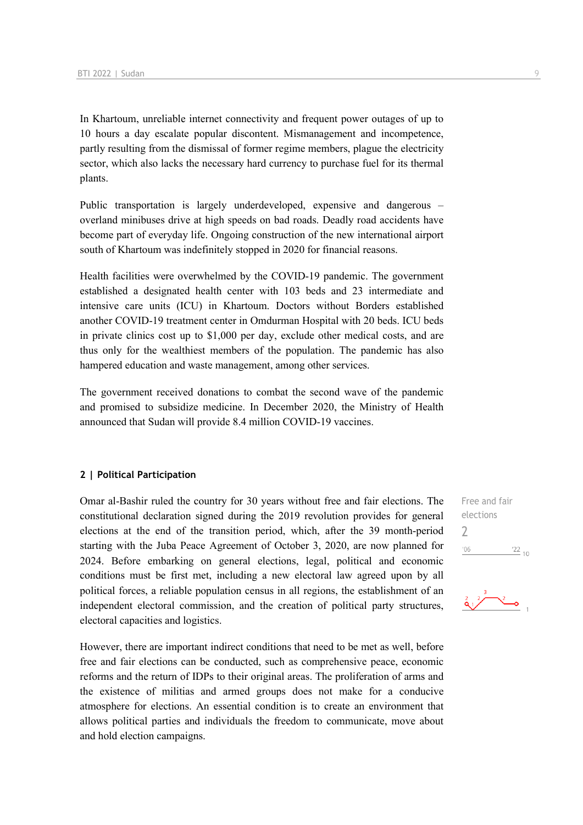In Khartoum, unreliable internet connectivity and frequent power outages of up to 10 hours a day escalate popular discontent. Mismanagement and incompetence, partly resulting from the dismissal of former regime members, plague the electricity sector, which also lacks the necessary hard currency to purchase fuel for its thermal plants.

Public transportation is largely underdeveloped, expensive and dangerous – overland minibuses drive at high speeds on bad roads. Deadly road accidents have become part of everyday life. Ongoing construction of the new international airport south of Khartoum was indefinitely stopped in 2020 for financial reasons.

Health facilities were overwhelmed by the COVID-19 pandemic. The government established a designated health center with 103 beds and 23 intermediate and intensive care units (ICU) in Khartoum. Doctors without Borders established another COVID-19 treatment center in Omdurman Hospital with 20 beds. ICU beds in private clinics cost up to \$1,000 per day, exclude other medical costs, and are thus only for the wealthiest members of the population. The pandemic has also hampered education and waste management, among other services.

The government received donations to combat the second wave of the pandemic and promised to subsidize medicine. In December 2020, the Ministry of Health announced that Sudan will provide 8.4 million COVID-19 vaccines.

#### **2 | Political Participation**

Omar al-Bashir ruled the country for 30 years without free and fair elections. The constitutional declaration signed during the 2019 revolution provides for general elections at the end of the transition period, which, after the 39 month-period starting with the Juba Peace Agreement of October 3, 2020, are now planned for 2024. Before embarking on general elections, legal, political and economic conditions must be first met, including a new electoral law agreed upon by all political forces, a reliable population census in all regions, the establishment of an independent electoral commission, and the creation of political party structures, electoral capacities and logistics.

However, there are important indirect conditions that need to be met as well, before free and fair elections can be conducted, such as comprehensive peace, economic reforms and the return of IDPs to their original areas. The proliferation of arms and the existence of militias and armed groups does not make for a conducive atmosphere for elections. An essential condition is to create an environment that allows political parties and individuals the freedom to communicate, move about and hold election campaigns.

Free and fair elections  $\overline{\phantom{0}}$  $-06$  $\frac{22}{10}$ 

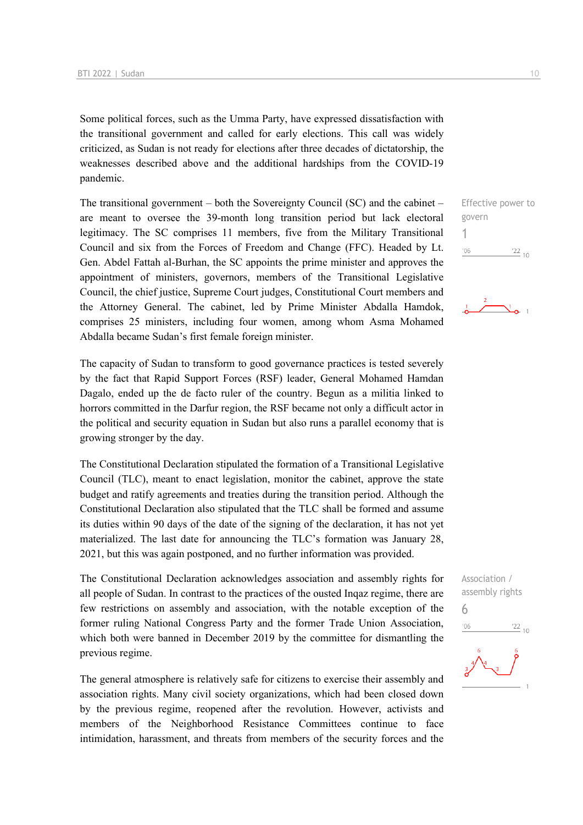Some political forces, such as the Umma Party, have expressed dissatisfaction with the transitional government and called for early elections. This call was widely criticized, as Sudan is not ready for elections after three decades of dictatorship, the weaknesses described above and the additional hardships from the COVID-19 pandemic.

The transitional government – both the Sovereignty Council (SC) and the cabinet – are meant to oversee the 39-month long transition period but lack electoral legitimacy. The SC comprises 11 members, five from the Military Transitional Council and six from the Forces of Freedom and Change (FFC). Headed by Lt. Gen. Abdel Fattah al-Burhan, the SC appoints the prime minister and approves the appointment of ministers, governors, members of the Transitional Legislative Council, the chief justice, Supreme Court judges, Constitutional Court members and the Attorney General. The cabinet, led by Prime Minister Abdalla Hamdok, comprises 25 ministers, including four women, among whom Asma Mohamed Abdalla became Sudan's first female foreign minister.

The capacity of Sudan to transform to good governance practices is tested severely by the fact that Rapid Support Forces (RSF) leader, General Mohamed Hamdan Dagalo, ended up the de facto ruler of the country. Begun as a militia linked to horrors committed in the Darfur region, the RSF became not only a difficult actor in the political and security equation in Sudan but also runs a parallel economy that is growing stronger by the day.

The Constitutional Declaration stipulated the formation of a Transitional Legislative Council (TLC), meant to enact legislation, monitor the cabinet, approve the state budget and ratify agreements and treaties during the transition period. Although the Constitutional Declaration also stipulated that the TLC shall be formed and assume its duties within 90 days of the date of the signing of the declaration, it has not yet materialized. The last date for announcing the TLC's formation was January 28, 2021, but this was again postponed, and no further information was provided.

The Constitutional Declaration acknowledges association and assembly rights for all people of Sudan. In contrast to the practices of the ousted Inqaz regime, there are few restrictions on assembly and association, with the notable exception of the former ruling National Congress Party and the former Trade Union Association, which both were banned in December 2019 by the committee for dismantling the previous regime.

The general atmosphere is relatively safe for citizens to exercise their assembly and association rights. Many civil society organizations, which had been closed down by the previous regime, reopened after the revolution. However, activists and members of the Neighborhood Resistance Committees continue to face intimidation, harassment, and threats from members of the security forces and the

Effective power to govern 1  $^{\prime}06$  $\frac{22}{10}$ 



Association / assembly rights 6 $n<sub>6</sub>$  $\frac{22}{10}$ 

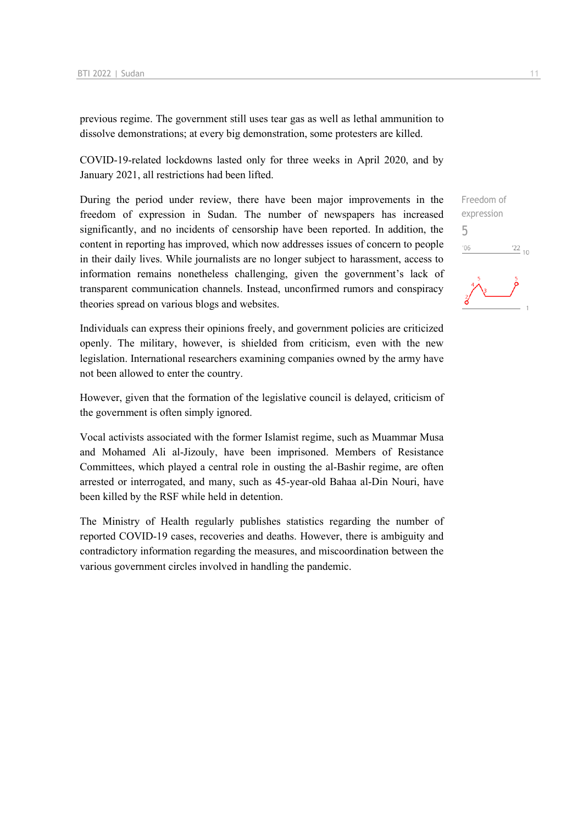previous regime. The government still uses tear gas as well as lethal ammunition to dissolve demonstrations; at every big demonstration, some protesters are killed.

COVID-19-related lockdowns lasted only for three weeks in April 2020, and by January 2021, all restrictions had been lifted.

During the period under review, there have been major improvements in the freedom of expression in Sudan. The number of newspapers has increased significantly, and no incidents of censorship have been reported. In addition, the content in reporting has improved, which now addresses issues of concern to people in their daily lives. While journalists are no longer subject to harassment, access to information remains nonetheless challenging, given the government's lack of transparent communication channels. Instead, unconfirmed rumors and conspiracy theories spread on various blogs and websites.

Individuals can express their opinions freely, and government policies are criticized openly. The military, however, is shielded from criticism, even with the new legislation. International researchers examining companies owned by the army have not been allowed to enter the country.

However, given that the formation of the legislative council is delayed, criticism of the government is often simply ignored.

Vocal activists associated with the former Islamist regime, such as Muammar Musa and Mohamed Ali al-Jizouly, have been imprisoned. Members of Resistance Committees, which played a central role in ousting the al-Bashir regime, are often arrested or interrogated, and many, such as 45-year-old Bahaa al-Din Nouri, have been killed by the RSF while held in detention.

The Ministry of Health regularly publishes statistics regarding the number of reported COVID-19 cases, recoveries and deaths. However, there is ambiguity and contradictory information regarding the measures, and miscoordination between the various government circles involved in handling the pandemic.

Freedom of expression 5 $\frac{22}{10}$  $06'$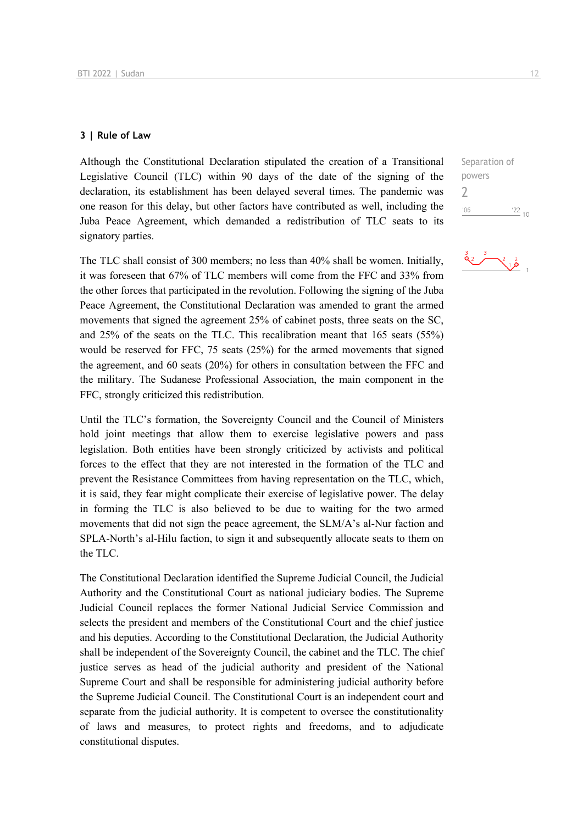#### **3 | Rule of Law**

Although the Constitutional Declaration stipulated the creation of a Transitional Legislative Council (TLC) within 90 days of the date of the signing of the declaration, its establishment has been delayed several times. The pandemic was one reason for this delay, but other factors have contributed as well, including the Juba Peace Agreement, which demanded a redistribution of TLC seats to its signatory parties.

The TLC shall consist of 300 members; no less than 40% shall be women. Initially, it was foreseen that 67% of TLC members will come from the FFC and 33% from the other forces that participated in the revolution. Following the signing of the Juba Peace Agreement, the Constitutional Declaration was amended to grant the armed movements that signed the agreement 25% of cabinet posts, three seats on the SC, and 25% of the seats on the TLC. This recalibration meant that 165 seats (55%) would be reserved for FFC, 75 seats (25%) for the armed movements that signed the agreement, and 60 seats (20%) for others in consultation between the FFC and the military. The Sudanese Professional Association, the main component in the FFC, strongly criticized this redistribution.

Until the TLC's formation, the Sovereignty Council and the Council of Ministers hold joint meetings that allow them to exercise legislative powers and pass legislation. Both entities have been strongly criticized by activists and political forces to the effect that they are not interested in the formation of the TLC and prevent the Resistance Committees from having representation on the TLC, which, it is said, they fear might complicate their exercise of legislative power. The delay in forming the TLC is also believed to be due to waiting for the two armed movements that did not sign the peace agreement, the SLM/A's al-Nur faction and SPLA-North's al-Hilu faction, to sign it and subsequently allocate seats to them on the TLC.

The Constitutional Declaration identified the Supreme Judicial Council, the Judicial Authority and the Constitutional Court as national judiciary bodies. The Supreme Judicial Council replaces the former National Judicial Service Commission and selects the president and members of the Constitutional Court and the chief justice and his deputies. According to the Constitutional Declaration, the Judicial Authority shall be independent of the Sovereignty Council, the cabinet and the TLC. The chief justice serves as head of the judicial authority and president of the National Supreme Court and shall be responsible for administering judicial authority before the Supreme Judicial Council. The Constitutional Court is an independent court and separate from the judicial authority. It is competent to oversee the constitutionality of laws and measures, to protect rights and freedoms, and to adjudicate constitutional disputes.

Separation of powers 2 $06'$  $\frac{22}{10}$ 

 $\frac{2}{16}$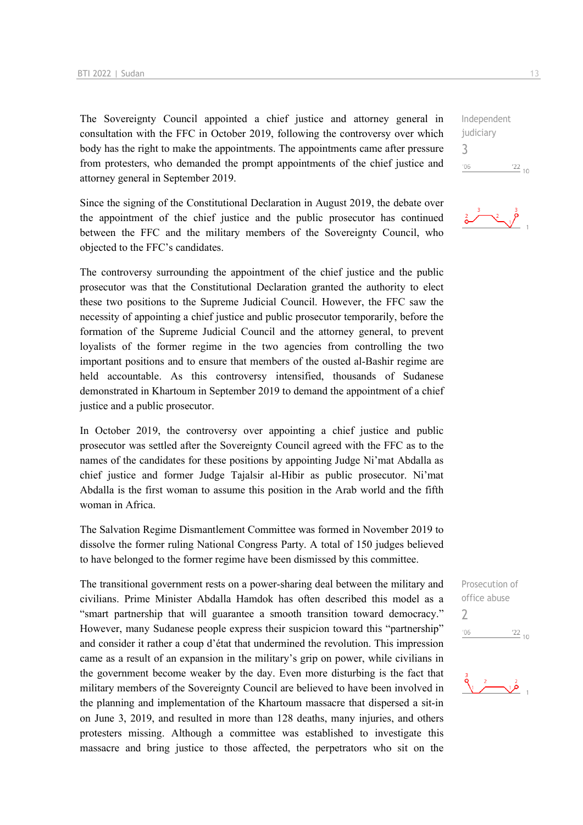The Sovereignty Council appointed a chief justice and attorney general in consultation with the FFC in October 2019, following the controversy over which body has the right to make the appointments. The appointments came after pressure from protesters, who demanded the prompt appointments of the chief justice and attorney general in September 2019.

Since the signing of the Constitutional Declaration in August 2019, the debate over the appointment of the chief justice and the public prosecutor has continued between the FFC and the military members of the Sovereignty Council, who objected to the FFC's candidates.

The controversy surrounding the appointment of the chief justice and the public prosecutor was that the Constitutional Declaration granted the authority to elect these two positions to the Supreme Judicial Council. However, the FFC saw the necessity of appointing a chief justice and public prosecutor temporarily, before the formation of the Supreme Judicial Council and the attorney general, to prevent loyalists of the former regime in the two agencies from controlling the two important positions and to ensure that members of the ousted al-Bashir regime are held accountable. As this controversy intensified, thousands of Sudanese demonstrated in Khartoum in September 2019 to demand the appointment of a chief justice and a public prosecutor.

In October 2019, the controversy over appointing a chief justice and public prosecutor was settled after the Sovereignty Council agreed with the FFC as to the names of the candidates for these positions by appointing Judge Ni'mat Abdalla as chief justice and former Judge Tajalsir al-Hibir as public prosecutor. Ni'mat Abdalla is the first woman to assume this position in the Arab world and the fifth woman in Africa.

The Salvation Regime Dismantlement Committee was formed in November 2019 to dissolve the former ruling National Congress Party. A total of 150 judges believed to have belonged to the former regime have been dismissed by this committee.

The transitional government rests on a power-sharing deal between the military and civilians. Prime Minister Abdalla Hamdok has often described this model as a "smart partnership that will guarantee a smooth transition toward democracy." However, many Sudanese people express their suspicion toward this "partnership" and consider it rather a coup d'état that undermined the revolution. This impression came as a result of an expansion in the military's grip on power, while civilians in the government become weaker by the day. Even more disturbing is the fact that military members of the Sovereignty Council are believed to have been involved in the planning and implementation of the Khartoum massacre that dispersed a sit-in on June 3, 2019, and resulted in more than 128 deaths, many injuries, and others protesters missing. Although a committee was established to investigate this massacre and bring justice to those affected, the perpetrators who sit on the

Independent judiciary 3  $^{\prime}06$  $\frac{22}{10}$ 



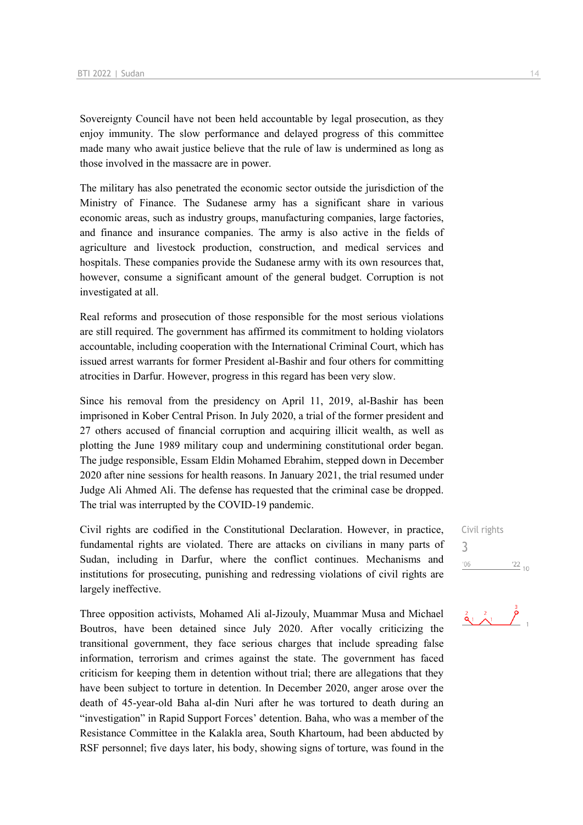Sovereignty Council have not been held accountable by legal prosecution, as they enjoy immunity. The slow performance and delayed progress of this committee made many who await justice believe that the rule of law is undermined as long as those involved in the massacre are in power.

The military has also penetrated the economic sector outside the jurisdiction of the Ministry of Finance. The Sudanese army has a significant share in various economic areas, such as industry groups, manufacturing companies, large factories, and finance and insurance companies. The army is also active in the fields of agriculture and livestock production, construction, and medical services and hospitals. These companies provide the Sudanese army with its own resources that, however, consume a significant amount of the general budget. Corruption is not investigated at all.

Real reforms and prosecution of those responsible for the most serious violations are still required. The government has affirmed its commitment to holding violators accountable, including cooperation with the International Criminal Court, which has issued arrest warrants for former President al-Bashir and four others for committing atrocities in Darfur. However, progress in this regard has been very slow.

Since his removal from the presidency on April 11, 2019, al-Bashir has been imprisoned in Kober Central Prison. In July 2020, a trial of the former president and 27 others accused of financial corruption and acquiring illicit wealth, as well as plotting the June 1989 military coup and undermining constitutional order began. The judge responsible, Essam Eldin Mohamed Ebrahim, stepped down in December 2020 after nine sessions for health reasons. In January 2021, the trial resumed under Judge Ali Ahmed Ali. The defense has requested that the criminal case be dropped. The trial was interrupted by the COVID-19 pandemic.

Civil rights are codified in the Constitutional Declaration. However, in practice, fundamental rights are violated. There are attacks on civilians in many parts of Sudan, including in Darfur, where the conflict continues. Mechanisms and institutions for prosecuting, punishing and redressing violations of civil rights are largely ineffective.

Three opposition activists, Mohamed Ali al-Jizouly, Muammar Musa and Michael Boutros, have been detained since July 2020. After vocally criticizing the transitional government, they face serious charges that include spreading false information, terrorism and crimes against the state. The government has faced criticism for keeping them in detention without trial; there are allegations that they have been subject to torture in detention. In December 2020, anger arose over the death of 45-year-old Baha al-din Nuri after he was tortured to death during an "investigation" in Rapid Support Forces' detention. Baha, who was a member of the Resistance Committee in the Kalakla area, South Khartoum, had been abducted by RSF personnel; five days later, his body, showing signs of torture, was found in the

Civil rights 3 $'06$  $122_{10}$ 

 $\frac{2}{9}$   $\frac{2}{1}$   $\frac{3}{7}$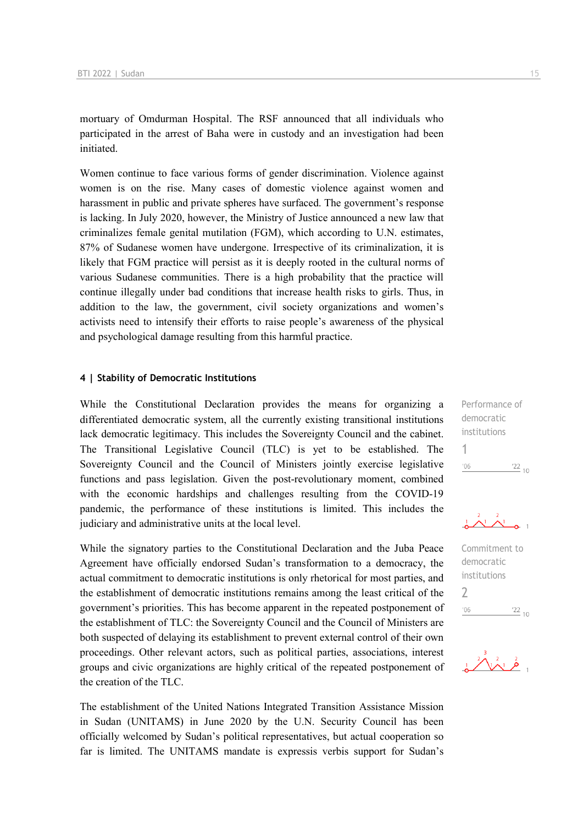mortuary of Omdurman Hospital. The RSF announced that all individuals who participated in the arrest of Baha were in custody and an investigation had been initiated.

Women continue to face various forms of gender discrimination. Violence against women is on the rise. Many cases of domestic violence against women and harassment in public and private spheres have surfaced. The government's response is lacking. In July 2020, however, the Ministry of Justice announced a new law that criminalizes female genital mutilation (FGM), which according to U.N. estimates, 87% of Sudanese women have undergone. Irrespective of its criminalization, it is likely that FGM practice will persist as it is deeply rooted in the cultural norms of various Sudanese communities. There is a high probability that the practice will continue illegally under bad conditions that increase health risks to girls. Thus, in addition to the law, the government, civil society organizations and women's activists need to intensify their efforts to raise people's awareness of the physical and psychological damage resulting from this harmful practice.

#### **4 | Stability of Democratic Institutions**

While the Constitutional Declaration provides the means for organizing a differentiated democratic system, all the currently existing transitional institutions lack democratic legitimacy. This includes the Sovereignty Council and the cabinet. The Transitional Legislative Council (TLC) is yet to be established. The Sovereignty Council and the Council of Ministers jointly exercise legislative functions and pass legislation. Given the post-revolutionary moment, combined with the economic hardships and challenges resulting from the COVID-19 pandemic, the performance of these institutions is limited. This includes the judiciary and administrative units at the local level.

While the signatory parties to the Constitutional Declaration and the Juba Peace Agreement have officially endorsed Sudan's transformation to a democracy, the actual commitment to democratic institutions is only rhetorical for most parties, and the establishment of democratic institutions remains among the least critical of the government's priorities. This has become apparent in the repeated postponement of the establishment of TLC: the Sovereignty Council and the Council of Ministers are both suspected of delaying its establishment to prevent external control of their own proceedings. Other relevant actors, such as political parties, associations, interest groups and civic organizations are highly critical of the repeated postponement of the creation of the TLC.

The establishment of the United Nations Integrated Transition Assistance Mission in Sudan (UNITAMS) in June 2020 by the U.N. Security Council has been officially welcomed by Sudan's political representatives, but actual cooperation so far is limited. The UNITAMS mandate is expressis verbis support for Sudan's Performance of democratic institutions 1  $'06$  $\frac{22}{10}$ 

$$
\begin{array}{c}\n1 & \lambda \\
1 & \lambda\n\end{array}
$$

Commitment to democratic institutions  $\overline{\phantom{0}}$  $^{\prime}06$  $\frac{22}{10}$ 

 $\frac{2}{3}$   $\sqrt{2}$   $\frac{2}{9}$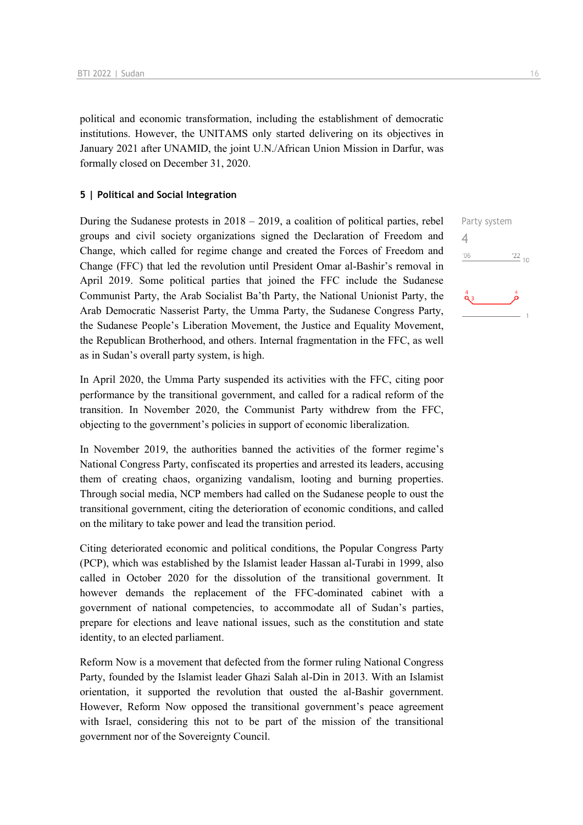political and economic transformation, including the establishment of democratic institutions. However, the UNITAMS only started delivering on its objectives in January 2021 after UNAMID, the joint U.N./African Union Mission in Darfur, was formally closed on December 31, 2020.

#### **5 | Political and Social Integration**

During the Sudanese protests in 2018 – 2019, a coalition of political parties, rebel groups and civil society organizations signed the Declaration of Freedom and Change, which called for regime change and created the Forces of Freedom and Change (FFC) that led the revolution until President Omar al-Bashir's removal in April 2019. Some political parties that joined the FFC include the Sudanese Communist Party, the Arab Socialist Ba'th Party, the National Unionist Party, the Arab Democratic Nasserist Party, the Umma Party, the Sudanese Congress Party, the Sudanese People's Liberation Movement, the Justice and Equality Movement, the Republican Brotherhood, and others. Internal fragmentation in the FFC, as well as in Sudan's overall party system, is high.

In April 2020, the Umma Party suspended its activities with the FFC, citing poor performance by the transitional government, and called for a radical reform of the transition. In November 2020, the Communist Party withdrew from the FFC, objecting to the government's policies in support of economic liberalization.

In November 2019, the authorities banned the activities of the former regime's National Congress Party, confiscated its properties and arrested its leaders, accusing them of creating chaos, organizing vandalism, looting and burning properties. Through social media, NCP members had called on the Sudanese people to oust the transitional government, citing the deterioration of economic conditions, and called on the military to take power and lead the transition period.

Citing deteriorated economic and political conditions, the Popular Congress Party (PCP), which was established by the Islamist leader Hassan al-Turabi in 1999, also called in October 2020 for the dissolution of the transitional government. It however demands the replacement of the FFC-dominated cabinet with a government of national competencies, to accommodate all of Sudan's parties, prepare for elections and leave national issues, such as the constitution and state identity, to an elected parliament.

Reform Now is a movement that defected from the former ruling National Congress Party, founded by the Islamist leader Ghazi Salah al-Din in 2013. With an Islamist orientation, it supported the revolution that ousted the al-Bashir government. However, Reform Now opposed the transitional government's peace agreement with Israel, considering this not to be part of the mission of the transitional government nor of the Sovereignty Council.

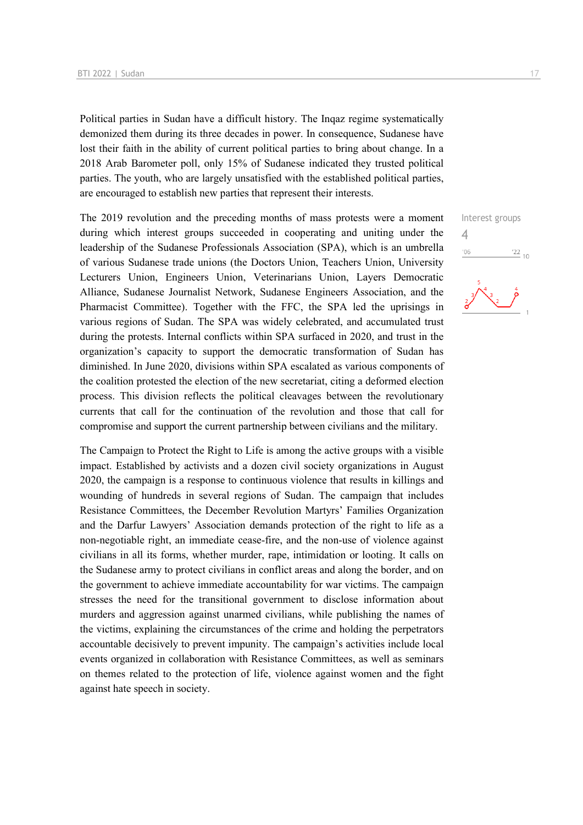Political parties in Sudan have a difficult history. The Inqaz regime systematically demonized them during its three decades in power. In consequence, Sudanese have lost their faith in the ability of current political parties to bring about change. In a 2018 Arab Barometer poll, only 15% of Sudanese indicated they trusted political parties. The youth, who are largely unsatisfied with the established political parties, are encouraged to establish new parties that represent their interests.

The 2019 revolution and the preceding months of mass protests were a moment during which interest groups succeeded in cooperating and uniting under the leadership of the Sudanese Professionals Association (SPA), which is an umbrella of various Sudanese trade unions (the Doctors Union, Teachers Union, University Lecturers Union, Engineers Union, Veterinarians Union, Layers Democratic Alliance, Sudanese Journalist Network, Sudanese Engineers Association, and the Pharmacist Committee). Together with the FFC, the SPA led the uprisings in various regions of Sudan. The SPA was widely celebrated, and accumulated trust during the protests. Internal conflicts within SPA surfaced in 2020, and trust in the organization's capacity to support the democratic transformation of Sudan has diminished. In June 2020, divisions within SPA escalated as various components of the coalition protested the election of the new secretariat, citing a deformed election process. This division reflects the political cleavages between the revolutionary currents that call for the continuation of the revolution and those that call for compromise and support the current partnership between civilians and the military.

The Campaign to Protect the Right to Life is among the active groups with a visible impact. Established by activists and a dozen civil society organizations in August 2020, the campaign is a response to continuous violence that results in killings and wounding of hundreds in several regions of Sudan. The campaign that includes Resistance Committees, the December Revolution Martyrs' Families Organization and the Darfur Lawyers' Association demands protection of the right to life as a non-negotiable right, an immediate cease-fire, and the non-use of violence against civilians in all its forms, whether murder, rape, intimidation or looting. It calls on the Sudanese army to protect civilians in conflict areas and along the border, and on the government to achieve immediate accountability for war victims. The campaign stresses the need for the transitional government to disclose information about murders and aggression against unarmed civilians, while publishing the names of the victims, explaining the circumstances of the crime and holding the perpetrators accountable decisively to prevent impunity. The campaign's activities include local events organized in collaboration with Resistance Committees, as well as seminars on themes related to the protection of life, violence against women and the fight against hate speech in society.

Interest groups

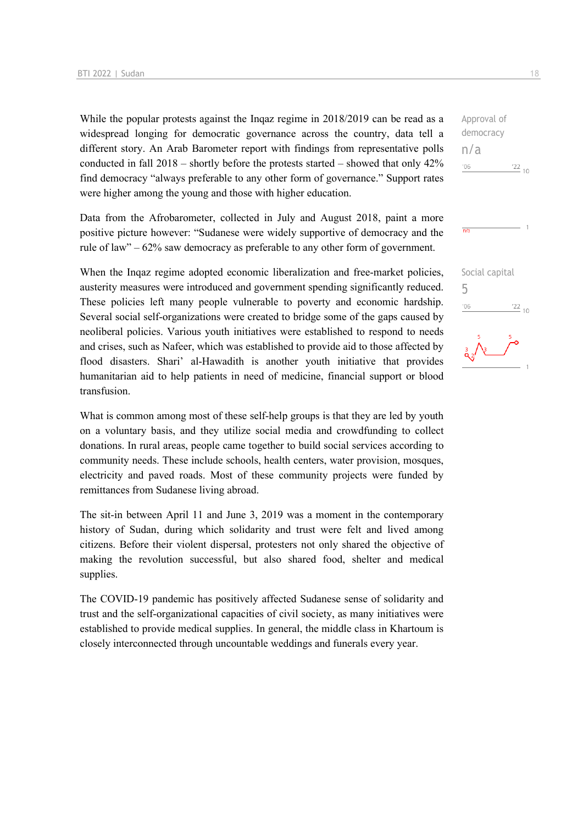While the popular protests against the Inqaz regime in 2018/2019 can be read as a widespread longing for democratic governance across the country, data tell a different story. An Arab Barometer report with findings from representative polls conducted in fall 2018 – shortly before the protests started – showed that only 42% find democracy "always preferable to any other form of governance." Support rates were higher among the young and those with higher education.

Data from the Afrobarometer, collected in July and August 2018, paint a more positive picture however: "Sudanese were widely supportive of democracy and the rule of law" – 62% saw democracy as preferable to any other form of government.

When the Inqaz regime adopted economic liberalization and free-market policies, austerity measures were introduced and government spending significantly reduced. These policies left many people vulnerable to poverty and economic hardship. Several social self-organizations were created to bridge some of the gaps caused by neoliberal policies. Various youth initiatives were established to respond to needs and crises, such as Nafeer, which was established to provide aid to those affected by flood disasters. Shari' al-Hawadith is another youth initiative that provides humanitarian aid to help patients in need of medicine, financial support or blood transfusion.

What is common among most of these self-help groups is that they are led by youth on a voluntary basis, and they utilize social media and crowdfunding to collect donations. In rural areas, people came together to build social services according to community needs. These include schools, health centers, water provision, mosques, electricity and paved roads. Most of these community projects were funded by remittances from Sudanese living abroad.

The sit-in between April 11 and June 3, 2019 was a moment in the contemporary history of Sudan, during which solidarity and trust were felt and lived among citizens. Before their violent dispersal, protesters not only shared the objective of making the revolution successful, but also shared food, shelter and medical supplies.

The COVID-19 pandemic has positively affected Sudanese sense of solidarity and trust and the self-organizational capacities of civil society, as many initiatives were established to provide medical supplies. In general, the middle class in Khartoum is closely interconnected through uncountable weddings and funerals every year.

Approval of democracy n/a  $-06$  $\frac{22}{10}$ 

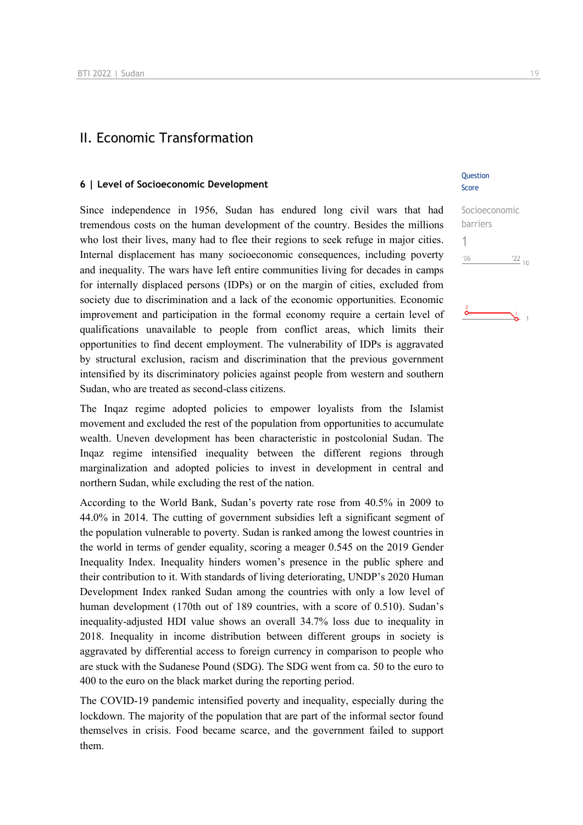# II. Economic Transformation

#### **6 | Level of Socioeconomic Development**

Since independence in 1956, Sudan has endured long civil wars that had tremendous costs on the human development of the country. Besides the millions who lost their lives, many had to flee their regions to seek refuge in major cities. Internal displacement has many socioeconomic consequences, including poverty and inequality. The wars have left entire communities living for decades in camps for internally displaced persons (IDPs) or on the margin of cities, excluded from society due to discrimination and a lack of the economic opportunities. Economic improvement and participation in the formal economy require a certain level of qualifications unavailable to people from conflict areas, which limits their opportunities to find decent employment. The vulnerability of IDPs is aggravated by structural exclusion, racism and discrimination that the previous government intensified by its discriminatory policies against people from western and southern Sudan, who are treated as second-class citizens.

The Inqaz regime adopted policies to empower loyalists from the Islamist movement and excluded the rest of the population from opportunities to accumulate wealth. Uneven development has been characteristic in postcolonial Sudan. The Inqaz regime intensified inequality between the different regions through marginalization and adopted policies to invest in development in central and northern Sudan, while excluding the rest of the nation.

According to the World Bank, Sudan's poverty rate rose from 40.5% in 2009 to 44.0% in 2014. The cutting of government subsidies left a significant segment of the population vulnerable to poverty. Sudan is ranked among the lowest countries in the world in terms of gender equality, scoring a meager 0.545 on the 2019 Gender Inequality Index. Inequality hinders women's presence in the public sphere and their contribution to it. With standards of living deteriorating, UNDP's 2020 Human Development Index ranked Sudan among the countries with only a low level of human development (170th out of 189 countries, with a score of 0.510). Sudan's inequality-adjusted HDI value shows an overall 34.7% loss due to inequality in 2018. Inequality in income distribution between different groups in society is aggravated by differential access to foreign currency in comparison to people who are stuck with the Sudanese Pound (SDG). The SDG went from ca. 50 to the euro to 400 to the euro on the black market during the reporting period.

The COVID-19 pandemic intensified poverty and inequality, especially during the lockdown. The majority of the population that are part of the informal sector found themselves in crisis. Food became scarce, and the government failed to support them.

#### Question Score

Socioeconomic barriers 1 $'06$  $\frac{22}{10}$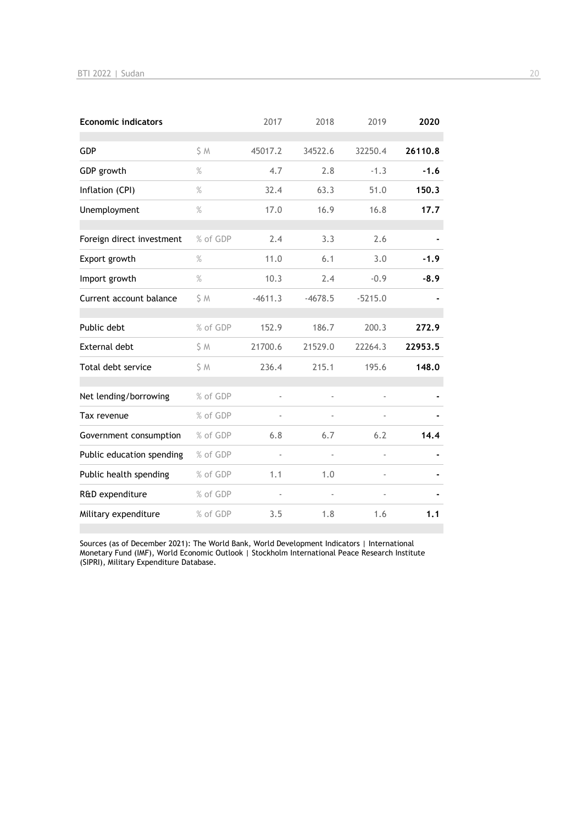| <b>Economic indicators</b> |          | 2017      | 2018      | 2019           | 2020    |
|----------------------------|----------|-----------|-----------|----------------|---------|
| <b>GDP</b>                 | S M      | 45017.2   | 34522.6   | 32250.4        | 26110.8 |
| GDP growth                 | $\%$     | 4.7       | 2.8       | $-1.3$         | $-1.6$  |
| Inflation (CPI)            | $\%$     | 32.4      | 63.3      | 51.0           | 150.3   |
| Unemployment               | $\%$     | 17.0      | 16.9      | 16.8           | 17.7    |
| Foreign direct investment  | % of GDP | 2.4       | 3.3       | 2.6            |         |
| Export growth              | $\%$     | 11.0      | 6.1       | 3.0            | $-1.9$  |
| Import growth              | $\%$     | 10.3      | 2.4       | $-0.9$         | $-8.9$  |
| Current account balance    | S M      | $-4611.3$ | $-4678.5$ | $-5215.0$      |         |
| Public debt                | % of GDP | 152.9     | 186.7     | 200.3          | 272.9   |
| <b>External debt</b>       | \$ M     | 21700.6   | 21529.0   | 22264.3        | 22953.5 |
| Total debt service         | S M      | 236.4     | 215.1     | 195.6          | 148.0   |
| Net lending/borrowing      | % of GDP | ä,        |           | ä,             |         |
| Tax revenue                | % of GDP |           |           |                |         |
| Government consumption     | % of GDP | 6.8       | 6.7       | 6.2            | 14.4    |
| Public education spending  | % of GDP | ÷,        |           | $\overline{a}$ |         |
| Public health spending     | % of GDP | 1.1       | 1.0       |                |         |
| R&D expenditure            | % of GDP |           |           |                |         |
| Military expenditure       | % of GDP | 3.5       | 1.8       | 1.6            | 1.1     |

Sources (as of December 2021): The World Bank, World Development Indicators | International Monetary Fund (IMF), World Economic Outlook | Stockholm International Peace Research Institute (SIPRI), Military Expenditure Database.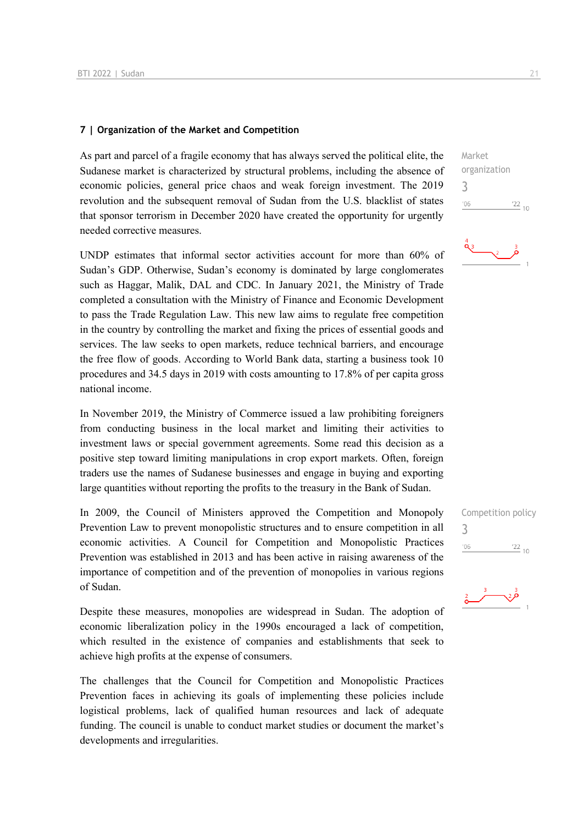#### **7 | Organization of the Market and Competition**

As part and parcel of a fragile economy that has always served the political elite, the Sudanese market is characterized by structural problems, including the absence of economic policies, general price chaos and weak foreign investment. The 2019 revolution and the subsequent removal of Sudan from the U.S. blacklist of states that sponsor terrorism in December 2020 have created the opportunity for urgently needed corrective measures.

UNDP estimates that informal sector activities account for more than 60% of Sudan's GDP. Otherwise, Sudan's economy is dominated by large conglomerates such as Haggar, Malik, DAL and CDC. In January 2021, the Ministry of Trade completed a consultation with the Ministry of Finance and Economic Development to pass the Trade Regulation Law. This new law aims to regulate free competition in the country by controlling the market and fixing the prices of essential goods and services. The law seeks to open markets, reduce technical barriers, and encourage the free flow of goods. According to World Bank data, starting a business took 10 procedures and 34.5 days in 2019 with costs amounting to 17.8% of per capita gross national income.

In November 2019, the Ministry of Commerce issued a law prohibiting foreigners from conducting business in the local market and limiting their activities to investment laws or special government agreements. Some read this decision as a positive step toward limiting manipulations in crop export markets. Often, foreign traders use the names of Sudanese businesses and engage in buying and exporting large quantities without reporting the profits to the treasury in the Bank of Sudan.

In 2009, the Council of Ministers approved the Competition and Monopoly Prevention Law to prevent monopolistic structures and to ensure competition in all economic activities. A Council for Competition and Monopolistic Practices Prevention was established in 2013 and has been active in raising awareness of the importance of competition and of the prevention of monopolies in various regions of Sudan.

Despite these measures, monopolies are widespread in Sudan. The adoption of economic liberalization policy in the 1990s encouraged a lack of competition, which resulted in the existence of companies and establishments that seek to achieve high profits at the expense of consumers.

The challenges that the Council for Competition and Monopolistic Practices Prevention faces in achieving its goals of implementing these policies include logistical problems, lack of qualified human resources and lack of adequate funding. The council is unable to conduct market studies or document the market's developments and irregularities.







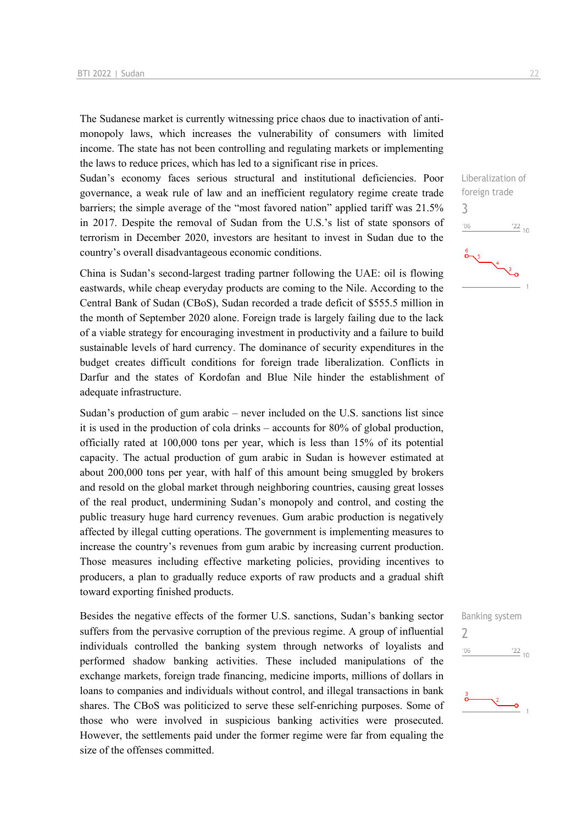The Sudanese market is currently witnessing price chaos due to inactivation of antimonopoly laws, which increases the vulnerability of consumers with limited income. The state has not been controlling and regulating markets or implementing the laws to reduce prices, which has led to a significant rise in prices.

Sudan's economy faces serious structural and institutional deficiencies. Poor governance, a weak rule of law and an inefficient regulatory regime create trade barriers; the simple average of the "most favored nation" applied tariff was 21.5% in 2017. Despite the removal of Sudan from the U.S.'s list of state sponsors of terrorism in December 2020, investors are hesitant to invest in Sudan due to the country's overall disadvantageous economic conditions.

China is Sudan's second-largest trading partner following the UAE: oil is flowing eastwards, while cheap everyday products are coming to the Nile. According to the Central Bank of Sudan (CBoS), Sudan recorded a trade deficit of \$555.5 million in the month of September 2020 alone. Foreign trade is largely failing due to the lack of a viable strategy for encouraging investment in productivity and a failure to build sustainable levels of hard currency. The dominance of security expenditures in the budget creates difficult conditions for foreign trade liberalization. Conflicts in Darfur and the states of Kordofan and Blue Nile hinder the establishment of adequate infrastructure.

Sudan's production of gum arabic – never included on the U.S. sanctions list since it is used in the production of cola drinks – accounts for 80% of global production, officially rated at 100,000 tons per year, which is less than 15% of its potential capacity. The actual production of gum arabic in Sudan is however estimated at about 200,000 tons per year, with half of this amount being smuggled by brokers and resold on the global market through neighboring countries, causing great losses of the real product, undermining Sudan's monopoly and control, and costing the public treasury huge hard currency revenues. Gum arabic production is negatively affected by illegal cutting operations. The government is implementing measures to increase the country's revenues from gum arabic by increasing current production. Those measures including effective marketing policies, providing incentives to producers, a plan to gradually reduce exports of raw products and a gradual shift toward exporting finished products.

Besides the negative effects of the former U.S. sanctions, Sudan's banking sector suffers from the pervasive corruption of the previous regime. A group of influential individuals controlled the banking system through networks of loyalists and performed shadow banking activities. These included manipulations of the exchange markets, foreign trade financing, medicine imports, millions of dollars in loans to companies and individuals without control, and illegal transactions in bank shares. The CBoS was politicized to serve these self-enriching purposes. Some of those who were involved in suspicious banking activities were prosecuted. However, the settlements paid under the former regime were far from equaling the size of the offenses committed.



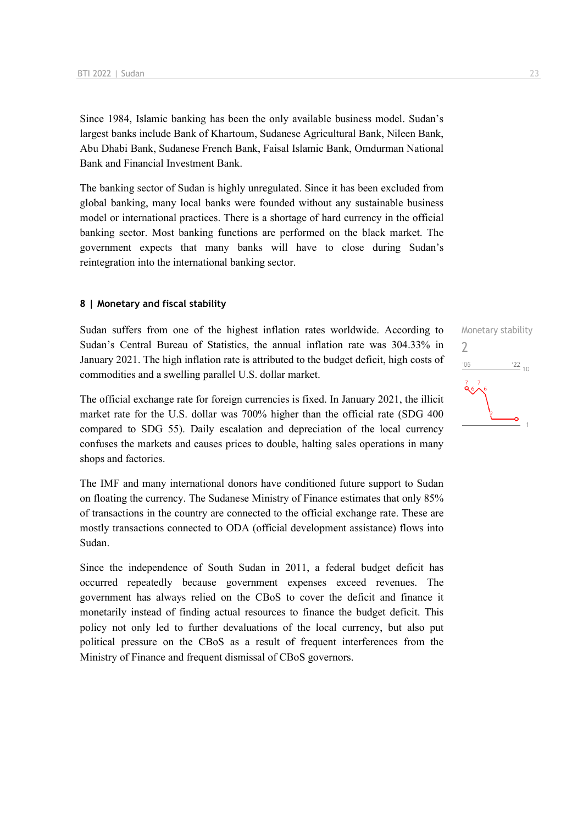Since 1984, Islamic banking has been the only available business model. Sudan's largest banks include Bank of Khartoum, Sudanese Agricultural Bank, Nileen Bank, Abu Dhabi Bank, Sudanese French Bank, Faisal Islamic Bank, Omdurman National Bank and Financial Investment Bank.

The banking sector of Sudan is highly unregulated. Since it has been excluded from global banking, many local banks were founded without any sustainable business model or international practices. There is a shortage of hard currency in the official banking sector. Most banking functions are performed on the black market. The government expects that many banks will have to close during Sudan's reintegration into the international banking sector.

#### **8 | Monetary and fiscal stability**

Sudan suffers from one of the highest inflation rates worldwide. According to Sudan's Central Bureau of Statistics, the annual inflation rate was 304.33% in January 2021. The high inflation rate is attributed to the budget deficit, high costs of commodities and a swelling parallel U.S. dollar market.

The official exchange rate for foreign currencies is fixed. In January 2021, the illicit market rate for the U.S. dollar was 700% higher than the official rate (SDG 400 compared to SDG 55). Daily escalation and depreciation of the local currency confuses the markets and causes prices to double, halting sales operations in many shops and factories.

The IMF and many international donors have conditioned future support to Sudan on floating the currency. The Sudanese Ministry of Finance estimates that only 85% of transactions in the country are connected to the official exchange rate. These are mostly transactions connected to ODA (official development assistance) flows into Sudan.

Since the independence of South Sudan in 2011, a federal budget deficit has occurred repeatedly because government expenses exceed revenues. The government has always relied on the CBoS to cover the deficit and finance it monetarily instead of finding actual resources to finance the budget deficit. This policy not only led to further devaluations of the local currency, but also put political pressure on the CBoS as a result of frequent interferences from the Ministry of Finance and frequent dismissal of CBoS governors.

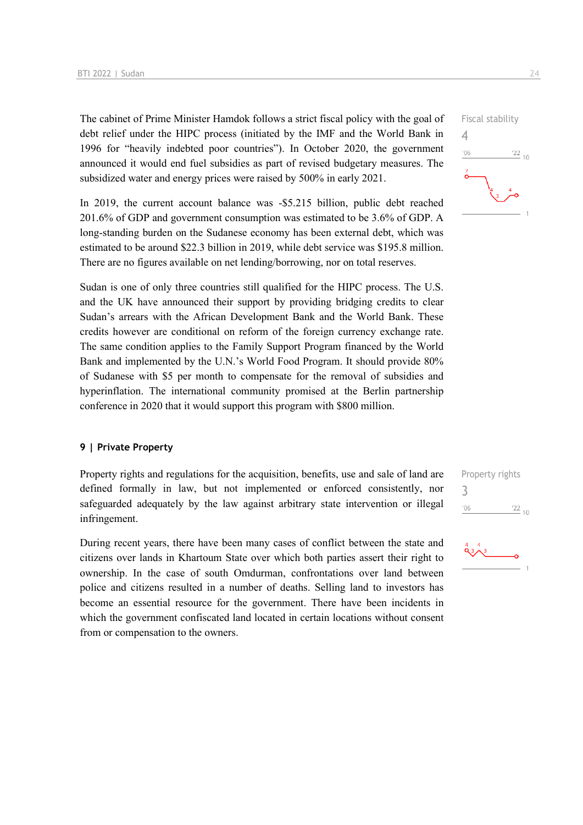The cabinet of Prime Minister Hamdok follows a strict fiscal policy with the goal of debt relief under the HIPC process (initiated by the IMF and the World Bank in 1996 for "heavily indebted poor countries"). In October 2020, the government announced it would end fuel subsidies as part of revised budgetary measures. The subsidized water and energy prices were raised by 500% in early 2021.

In 2019, the current account balance was -\$5.215 billion, public debt reached 201.6% of GDP and government consumption was estimated to be 3.6% of GDP. A long-standing burden on the Sudanese economy has been external debt, which was estimated to be around \$22.3 billion in 2019, while debt service was \$195.8 million. There are no figures available on net lending/borrowing, nor on total reserves.

Sudan is one of only three countries still qualified for the HIPC process. The U.S. and the UK have announced their support by providing bridging credits to clear Sudan's arrears with the African Development Bank and the World Bank. These credits however are conditional on reform of the foreign currency exchange rate. The same condition applies to the Family Support Program financed by the World Bank and implemented by the U.N.'s World Food Program. It should provide 80% of Sudanese with \$5 per month to compensate for the removal of subsidies and hyperinflation. The international community promised at the Berlin partnership conference in 2020 that it would support this program with \$800 million.

#### **9 | Private Property**

Property rights and regulations for the acquisition, benefits, use and sale of land are defined formally in law, but not implemented or enforced consistently, nor safeguarded adequately by the law against arbitrary state intervention or illegal infringement.

During recent years, there have been many cases of conflict between the state and citizens over lands in Khartoum State over which both parties assert their right to ownership. In the case of south Omdurman, confrontations over land between police and citizens resulted in a number of deaths. Selling land to investors has become an essential resource for the government. There have been incidents in which the government confiscated land located in certain locations without consent from or compensation to the owners.



Property rights 3 $106$  $\frac{22}{10}$ 

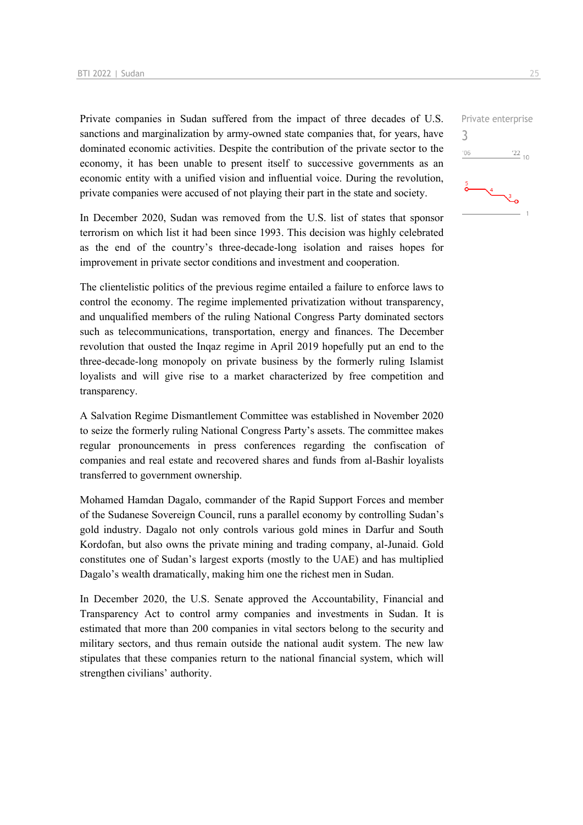Private companies in Sudan suffered from the impact of three decades of U.S. sanctions and marginalization by army-owned state companies that, for years, have dominated economic activities. Despite the contribution of the private sector to the economy, it has been unable to present itself to successive governments as an economic entity with a unified vision and influential voice. During the revolution, private companies were accused of not playing their part in the state and society.

In December 2020, Sudan was removed from the U.S. list of states that sponsor terrorism on which list it had been since 1993. This decision was highly celebrated as the end of the country's three-decade-long isolation and raises hopes for improvement in private sector conditions and investment and cooperation.

The clientelistic politics of the previous regime entailed a failure to enforce laws to control the economy. The regime implemented privatization without transparency, and unqualified members of the ruling National Congress Party dominated sectors such as telecommunications, transportation, energy and finances. The December revolution that ousted the Inqaz regime in April 2019 hopefully put an end to the three-decade-long monopoly on private business by the formerly ruling Islamist loyalists and will give rise to a market characterized by free competition and transparency.

A Salvation Regime Dismantlement Committee was established in November 2020 to seize the formerly ruling National Congress Party's assets. The committee makes regular pronouncements in press conferences regarding the confiscation of companies and real estate and recovered shares and funds from al-Bashir loyalists transferred to government ownership.

Mohamed Hamdan Dagalo, commander of the Rapid Support Forces and member of the Sudanese Sovereign Council, runs a parallel economy by controlling Sudan's gold industry. Dagalo not only controls various gold mines in Darfur and South Kordofan, but also owns the private mining and trading company, al-Junaid. Gold constitutes one of Sudan's largest exports (mostly to the UAE) and has multiplied Dagalo's wealth dramatically, making him one the richest men in Sudan.

In December 2020, the U.S. Senate approved the Accountability, Financial and Transparency Act to control army companies and investments in Sudan. It is estimated that more than 200 companies in vital sectors belong to the security and military sectors, and thus remain outside the national audit system. The new law stipulates that these companies return to the national financial system, which will strengthen civilians' authority.

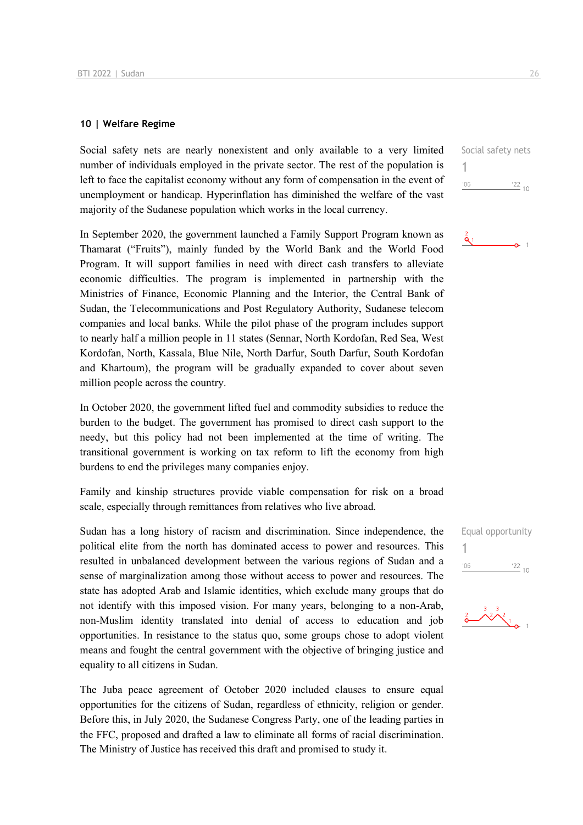#### **10 | Welfare Regime**

Social safety nets are nearly nonexistent and only available to a very limited number of individuals employed in the private sector. The rest of the population is left to face the capitalist economy without any form of compensation in the event of unemployment or handicap. Hyperinflation has diminished the welfare of the vast majority of the Sudanese population which works in the local currency.

In September 2020, the government launched a Family Support Program known as Thamarat ("Fruits"), mainly funded by the World Bank and the World Food Program. It will support families in need with direct cash transfers to alleviate economic difficulties. The program is implemented in partnership with the Ministries of Finance, Economic Planning and the Interior, the Central Bank of Sudan, the Telecommunications and Post Regulatory Authority, Sudanese telecom companies and local banks. While the pilot phase of the program includes support to nearly half a million people in 11 states (Sennar, North Kordofan, Red Sea, West Kordofan, North, Kassala, Blue Nile, North Darfur, South Darfur, South Kordofan and Khartoum), the program will be gradually expanded to cover about seven million people across the country.

In October 2020, the government lifted fuel and commodity subsidies to reduce the burden to the budget. The government has promised to direct cash support to the needy, but this policy had not been implemented at the time of writing. The transitional government is working on tax reform to lift the economy from high burdens to end the privileges many companies enjoy.

Family and kinship structures provide viable compensation for risk on a broad scale, especially through remittances from relatives who live abroad.

Sudan has a long history of racism and discrimination. Since independence, the political elite from the north has dominated access to power and resources. This resulted in unbalanced development between the various regions of Sudan and a sense of marginalization among those without access to power and resources. The state has adopted Arab and Islamic identities, which exclude many groups that do not identify with this imposed vision. For many years, belonging to a non-Arab, non-Muslim identity translated into denial of access to education and job opportunities. In resistance to the status quo, some groups chose to adopt violent means and fought the central government with the objective of bringing justice and equality to all citizens in Sudan.

The Juba peace agreement of October 2020 included clauses to ensure equal opportunities for the citizens of Sudan, regardless of ethnicity, religion or gender. Before this, in July 2020, the Sudanese Congress Party, one of the leading parties in the FFC, proposed and drafted a law to eliminate all forms of racial discrimination. The Ministry of Justice has received this draft and promised to study it.

Social safety nets 1  $'06$  $\frac{22}{10}$ 





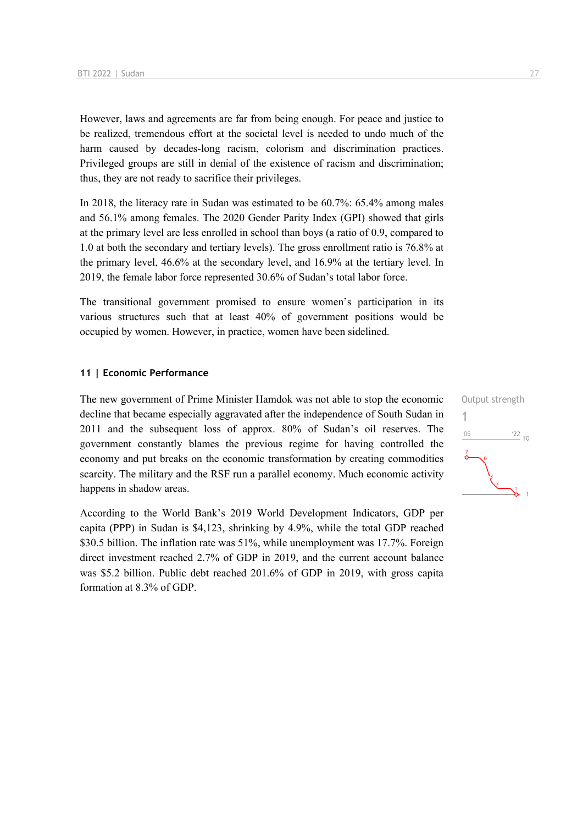However, laws and agreements are far from being enough. For peace and justice to be realized, tremendous effort at the societal level is needed to undo much of the harm caused by decades-long racism, colorism and discrimination practices. Privileged groups are still in denial of the existence of racism and discrimination; thus, they are not ready to sacrifice their privileges.

In 2018, the literacy rate in Sudan was estimated to be 60.7%: 65.4% among males and 56.1% among females. The 2020 Gender Parity Index (GPI) showed that girls at the primary level are less enrolled in school than boys (a ratio of 0.9, compared to 1.0 at both the secondary and tertiary levels). The gross enrollment ratio is 76.8% at the primary level, 46.6% at the secondary level, and 16.9% at the tertiary level. In 2019, the female labor force represented 30.6% of Sudan's total labor force.

The transitional government promised to ensure women's participation in its various structures such that at least 40% of government positions would be occupied by women. However, in practice, women have been sidelined.

#### **11 | Economic Performance**

The new government of Prime Minister Hamdok was not able to stop the economic decline that became especially aggravated after the independence of South Sudan in 2011 and the subsequent loss of approx. 80% of Sudan's oil reserves. The government constantly blames the previous regime for having controlled the economy and put breaks on the economic transformation by creating commodities scarcity. The military and the RSF run a parallel economy. Much economic activity happens in shadow areas.

According to the World Bank's 2019 World Development Indicators, GDP per capita (PPP) in Sudan is \$4,123, shrinking by 4.9%, while the total GDP reached \$30.5 billion. The inflation rate was 51%, while unemployment was 17.7%. Foreign direct investment reached 2.7% of GDP in 2019, and the current account balance was \$5.2 billion. Public debt reached 201.6% of GDP in 2019, with gross capita formation at 8.3% of GDP.

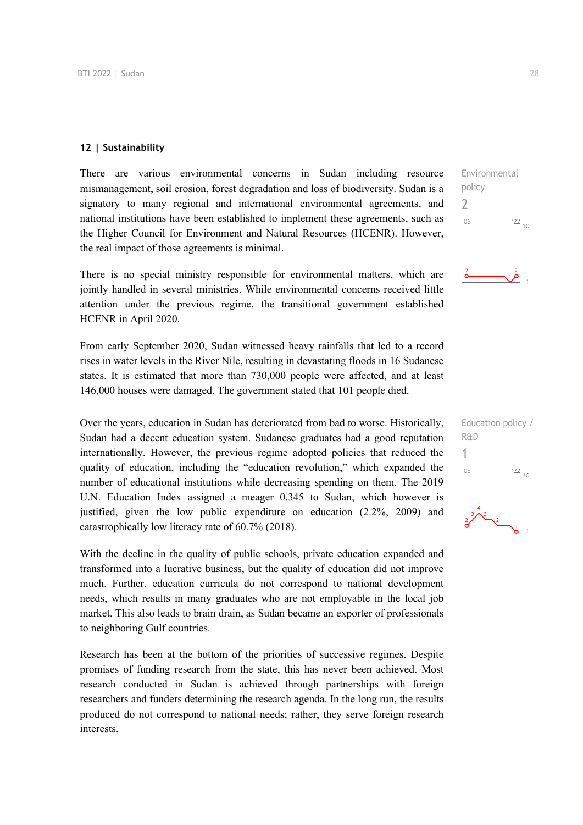#### **12 | Sustainability**

There are various environmental concerns in Sudan including resource mismanagement, soil erosion, forest degradation and loss of biodiversity. Sudan is a signatory to many regional and international environmental agreements, and national institutions have been established to implement these agreements, such as the Higher Council for Environment and Natural Resources (HCENR). However, the real impact of those agreements is minimal.

There is no special ministry responsible for environmental matters, which are jointly handled in several ministries. While environmental concerns received little attention under the previous regime, the transitional government established HCENR in April 2020.

From early September 2020, Sudan witnessed heavy rainfalls that led to a record rises in water levels in the River Nile, resulting in devastating floods in 16 Sudanese states. It is estimated that more than 730,000 people were affected, and at least 146,000 houses were damaged. The government stated that 101 people died.

Over the years, education in Sudan has deteriorated from bad to worse. Historically, Sudan had a decent education system. Sudanese graduates had a good reputation internationally. However, the previous regime adopted policies that reduced the quality of education, including the "education revolution," which expanded the number of educational institutions while decreasing spending on them. The 2019 U.N. Education Index assigned a meager 0.345 to Sudan, which however is justified, given the low public expenditure on education (2.2%, 2009) and catastrophically low literacy rate of 60.7% (2018).

With the decline in the quality of public schools, private education expanded and transformed into a lucrative business, but the quality of education did not improve much. Further, education curricula do not correspond to national development needs, which results in many graduates who are not employable in the local job market. This also leads to brain drain, as Sudan became an exporter of professionals to neighboring Gulf countries.

Research has been at the bottom of the priorities of successive regimes. Despite promises of funding research from the state, this has never been achieved. Most research conducted in Sudan is achieved through partnerships with foreign researchers and funders determining the research agenda. In the long run, the results produced do not correspond to national needs; rather, they serve foreign research interests.

| Environmental |                 |
|---------------|-----------------|
| policy        |                 |
|               |                 |
| '06           | $\frac{22}{10}$ |
|               |                 |



| Education policy / |            |  |
|--------------------|------------|--|
| R&D                |            |  |
|                    |            |  |
| '06                | $122_{10}$ |  |

 $\frac{2}{b}$  1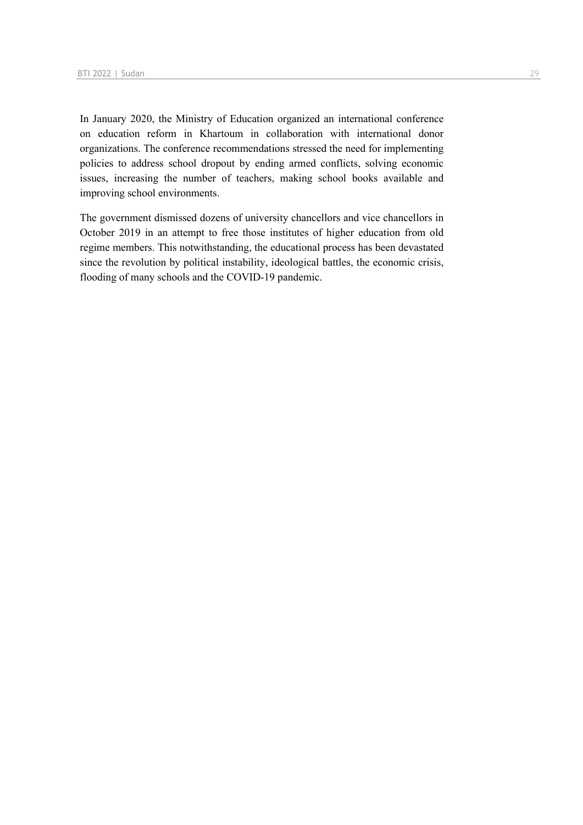In January 2020, the Ministry of Education organized an international conference on education reform in Khartoum in collaboration with international donor organizations. The conference recommendations stressed the need for implementing policies to address school dropout by ending armed conflicts, solving economic issues, increasing the number of teachers, making school books available and improving school environments.

The government dismissed dozens of university chancellors and vice chancellors in October 2019 in an attempt to free those institutes of higher education from old regime members. This notwithstanding, the educational process has been devastated since the revolution by political instability, ideological battles, the economic crisis, flooding of many schools and the COVID-19 pandemic.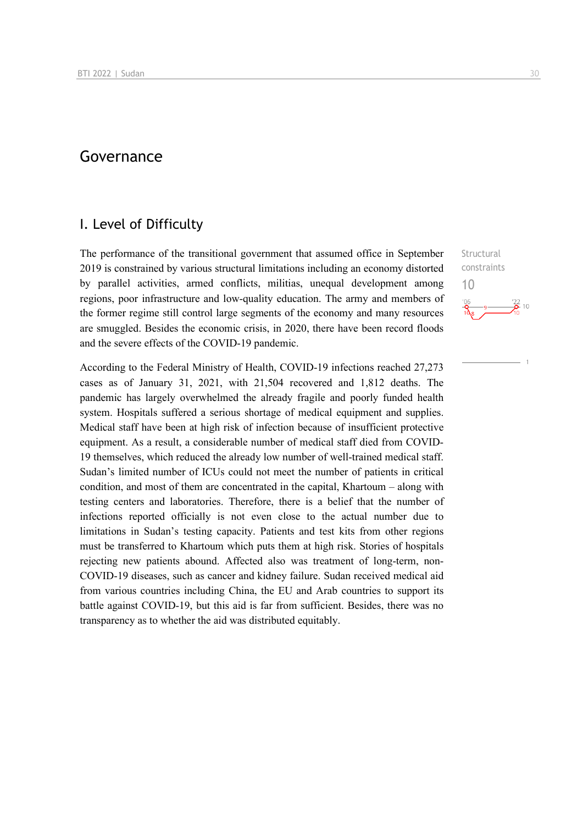# Governance

# I. Level of Difficulty

The performance of the transitional government that assumed office in September 2019 is constrained by various structural limitations including an economy distorted by parallel activities, armed conflicts, militias, unequal development among regions, poor infrastructure and low-quality education. The army and members of the former regime still control large segments of the economy and many resources are smuggled. Besides the economic crisis, in 2020, there have been record floods and the severe effects of the COVID-19 pandemic.

According to the Federal Ministry of Health, COVID-19 infections reached 27,273 cases as of January 31, 2021, with 21,504 recovered and 1,812 deaths. The pandemic has largely overwhelmed the already fragile and poorly funded health system. Hospitals suffered a serious shortage of medical equipment and supplies. Medical staff have been at high risk of infection because of insufficient protective equipment. As a result, a considerable number of medical staff died from COVID-19 themselves, which reduced the already low number of well-trained medical staff. Sudan's limited number of ICUs could not meet the number of patients in critical condition, and most of them are concentrated in the capital, Khartoum – along with testing centers and laboratories. Therefore, there is a belief that the number of infections reported officially is not even close to the actual number due to limitations in Sudan's testing capacity. Patients and test kits from other regions must be transferred to Khartoum which puts them at high risk. Stories of hospitals rejecting new patients abound. Affected also was treatment of long-term, non-COVID-19 diseases, such as cancer and kidney failure. Sudan received medical aid from various countries including China, the EU and Arab countries to support its battle against COVID-19, but this aid is far from sufficient. Besides, there was no transparency as to whether the aid was distributed equitably.

**Structural** constraints 10 $\frac{122}{2}$  10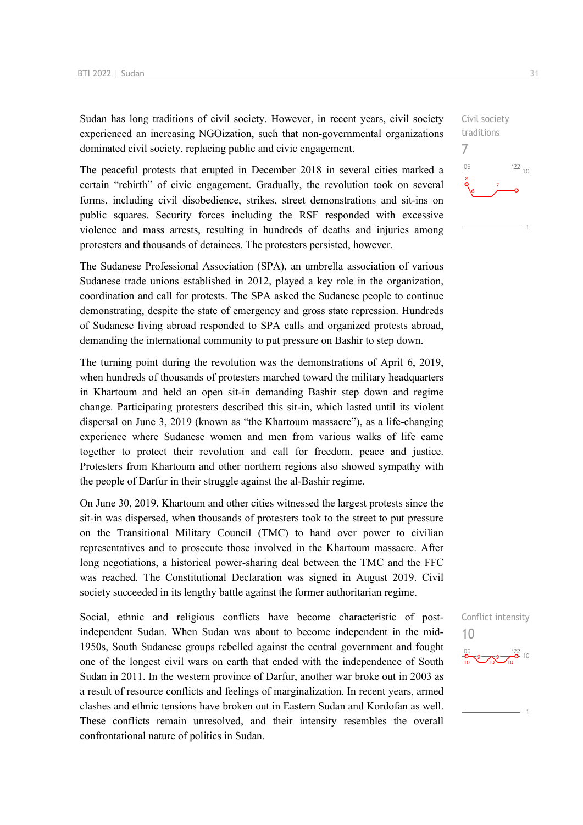Sudan has long traditions of civil society. However, in recent years, civil society experienced an increasing NGOization, such that non-governmental organizations dominated civil society, replacing public and civic engagement.

The peaceful protests that erupted in December 2018 in several cities marked a certain "rebirth" of civic engagement. Gradually, the revolution took on several forms, including civil disobedience, strikes, street demonstrations and sit-ins on public squares. Security forces including the RSF responded with excessive violence and mass arrests, resulting in hundreds of deaths and injuries among protesters and thousands of detainees. The protesters persisted, however.

The Sudanese Professional Association (SPA), an umbrella association of various Sudanese trade unions established in 2012, played a key role in the organization, coordination and call for protests. The SPA asked the Sudanese people to continue demonstrating, despite the state of emergency and gross state repression. Hundreds of Sudanese living abroad responded to SPA calls and organized protests abroad, demanding the international community to put pressure on Bashir to step down.

The turning point during the revolution was the demonstrations of April 6, 2019, when hundreds of thousands of protesters marched toward the military headquarters in Khartoum and held an open sit-in demanding Bashir step down and regime change. Participating protesters described this sit-in, which lasted until its violent dispersal on June 3, 2019 (known as "the Khartoum massacre"), as a life-changing experience where Sudanese women and men from various walks of life came together to protect their revolution and call for freedom, peace and justice. Protesters from Khartoum and other northern regions also showed sympathy with the people of Darfur in their struggle against the al-Bashir regime.

On June 30, 2019, Khartoum and other cities witnessed the largest protests since the sit-in was dispersed, when thousands of protesters took to the street to put pressure on the Transitional Military Council (TMC) to hand over power to civilian representatives and to prosecute those involved in the Khartoum massacre. After long negotiations, a historical power-sharing deal between the TMC and the FFC was reached. The Constitutional Declaration was signed in August 2019. Civil society succeeded in its lengthy battle against the former authoritarian regime.

Social, ethnic and religious conflicts have become characteristic of postindependent Sudan. When Sudan was about to become independent in the mid-1950s, South Sudanese groups rebelled against the central government and fought one of the longest civil wars on earth that ended with the independence of South Sudan in 2011. In the western province of Darfur, another war broke out in 2003 as a result of resource conflicts and feelings of marginalization. In recent years, armed clashes and ethnic tensions have broken out in Eastern Sudan and Kordofan as well. These conflicts remain unresolved, and their intensity resembles the overall confrontational nature of politics in Sudan.



# Civil society traditions 7  $-06$  $\frac{22}{10}$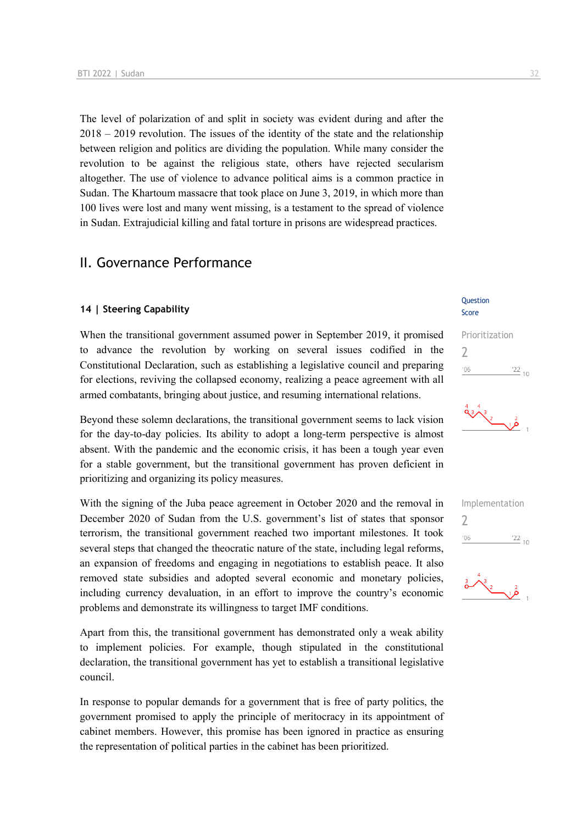The level of polarization of and split in society was evident during and after the 2018 – 2019 revolution. The issues of the identity of the state and the relationship between religion and politics are dividing the population. While many consider the revolution to be against the religious state, others have rejected secularism altogether. The use of violence to advance political aims is a common practice in Sudan. The Khartoum massacre that took place on June 3, 2019, in which more than 100 lives were lost and many went missing, is a testament to the spread of violence in Sudan. Extrajudicial killing and fatal torture in prisons are widespread practices.

## II. Governance Performance

#### **14 | Steering Capability**

When the transitional government assumed power in September 2019, it promised to advance the revolution by working on several issues codified in the Constitutional Declaration, such as establishing a legislative council and preparing for elections, reviving the collapsed economy, realizing a peace agreement with all armed combatants, bringing about justice, and resuming international relations.

Beyond these solemn declarations, the transitional government seems to lack vision for the day-to-day policies. Its ability to adopt a long-term perspective is almost absent. With the pandemic and the economic crisis, it has been a tough year even for a stable government, but the transitional government has proven deficient in prioritizing and organizing its policy measures.

With the signing of the Juba peace agreement in October 2020 and the removal in December 2020 of Sudan from the U.S. government's list of states that sponsor terrorism, the transitional government reached two important milestones. It took several steps that changed the theocratic nature of the state, including legal reforms, an expansion of freedoms and engaging in negotiations to establish peace. It also removed state subsidies and adopted several economic and monetary policies, including currency devaluation, in an effort to improve the country's economic problems and demonstrate its willingness to target IMF conditions.

Apart from this, the transitional government has demonstrated only a weak ability to implement policies. For example, though stipulated in the constitutional declaration, the transitional government has yet to establish a transitional legislative council.

In response to popular demands for a government that is free of party politics, the government promised to apply the principle of meritocracy in its appointment of cabinet members. However, this promise has been ignored in practice as ensuring the representation of political parties in the cabinet has been prioritized.

#### **Ouestion** Score

#### Prioritization  $\overline{\phantom{0}}$  $^{\prime}06$  $\frac{22}{10}$





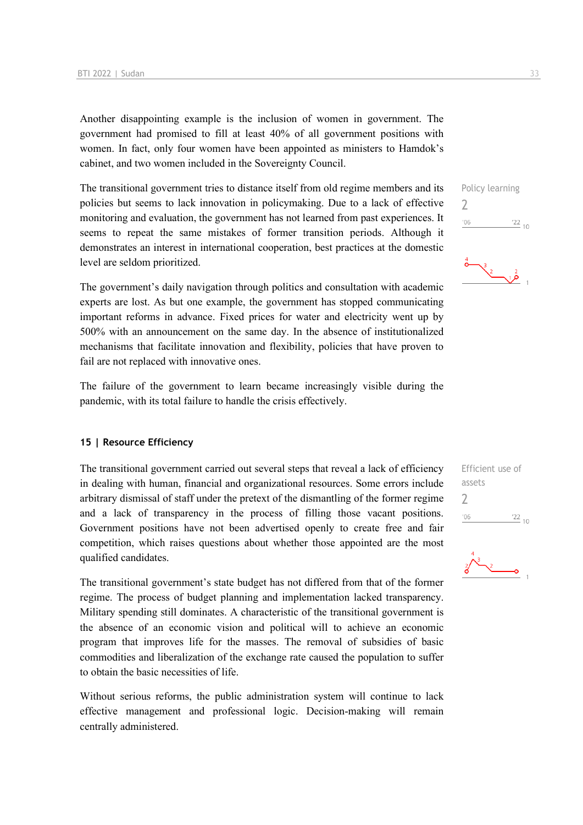Another disappointing example is the inclusion of women in government. The government had promised to fill at least 40% of all government positions with women. In fact, only four women have been appointed as ministers to Hamdok's cabinet, and two women included in the Sovereignty Council.

The transitional government tries to distance itself from old regime members and its policies but seems to lack innovation in policymaking. Due to a lack of effective monitoring and evaluation, the government has not learned from past experiences. It seems to repeat the same mistakes of former transition periods. Although it demonstrates an interest in international cooperation, best practices at the domestic level are seldom prioritized.

The government's daily navigation through politics and consultation with academic experts are lost. As but one example, the government has stopped communicating important reforms in advance. Fixed prices for water and electricity went up by 500% with an announcement on the same day. In the absence of institutionalized mechanisms that facilitate innovation and flexibility, policies that have proven to fail are not replaced with innovative ones.

The failure of the government to learn became increasingly visible during the pandemic, with its total failure to handle the crisis effectively.

#### **15 | Resource Efficiency**

The transitional government carried out several steps that reveal a lack of efficiency in dealing with human, financial and organizational resources. Some errors include arbitrary dismissal of staff under the pretext of the dismantling of the former regime and a lack of transparency in the process of filling those vacant positions. Government positions have not been advertised openly to create free and fair competition, which raises questions about whether those appointed are the most qualified candidates.

The transitional government's state budget has not differed from that of the former regime. The process of budget planning and implementation lacked transparency. Military spending still dominates. A characteristic of the transitional government is the absence of an economic vision and political will to achieve an economic program that improves life for the masses. The removal of subsidies of basic commodities and liberalization of the exchange rate caused the population to suffer to obtain the basic necessities of life.

Without serious reforms, the public administration system will continue to lack effective management and professional logic. Decision-making will remain centrally administered.

2

 $\frac{3}{2}$ 

Efficient use of assets  $\overline{\phantom{0}}$  $^{\prime}06$  $\frac{22}{10}$ 

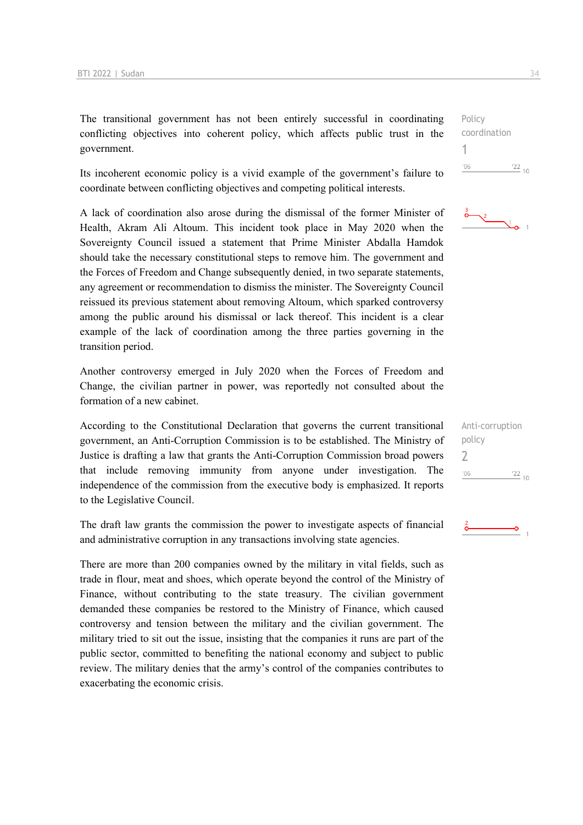The transitional government has not been entirely successful in coordinating conflicting objectives into coherent policy, which affects public trust in the government.

Its incoherent economic policy is a vivid example of the government's failure to coordinate between conflicting objectives and competing political interests.

A lack of coordination also arose during the dismissal of the former Minister of Health, Akram Ali Altoum. This incident took place in May 2020 when the Sovereignty Council issued a statement that Prime Minister Abdalla Hamdok should take the necessary constitutional steps to remove him. The government and the Forces of Freedom and Change subsequently denied, in two separate statements, any agreement or recommendation to dismiss the minister. The Sovereignty Council reissued its previous statement about removing Altoum, which sparked controversy among the public around his dismissal or lack thereof. This incident is a clear example of the lack of coordination among the three parties governing in the transition period.

Another controversy emerged in July 2020 when the Forces of Freedom and Change, the civilian partner in power, was reportedly not consulted about the formation of a new cabinet.

According to the Constitutional Declaration that governs the current transitional government, an Anti-Corruption Commission is to be established. The Ministry of Justice is drafting a law that grants the Anti-Corruption Commission broad powers that include removing immunity from anyone under investigation. The independence of the commission from the executive body is emphasized. It reports to the Legislative Council.

The draft law grants the commission the power to investigate aspects of financial and administrative corruption in any transactions involving state agencies.

There are more than 200 companies owned by the military in vital fields, such as trade in flour, meat and shoes, which operate beyond the control of the Ministry of Finance, without contributing to the state treasury. The civilian government demanded these companies be restored to the Ministry of Finance, which caused controversy and tension between the military and the civilian government. The military tried to sit out the issue, insisting that the companies it runs are part of the public sector, committed to benefiting the national economy and subject to public review. The military denies that the army's control of the companies contributes to exacerbating the economic crisis.

Policy coordination 1  $\frac{22}{10}$  $106$ 



| Anti-corruption |               |
|-----------------|---------------|
| policy          |               |
|                 |               |
| '06             | $^{22}_{-10}$ |
|                 |               |

 $\overline{\phantom{a}}$ 

 $\frac{2}{\mathbf{O}}$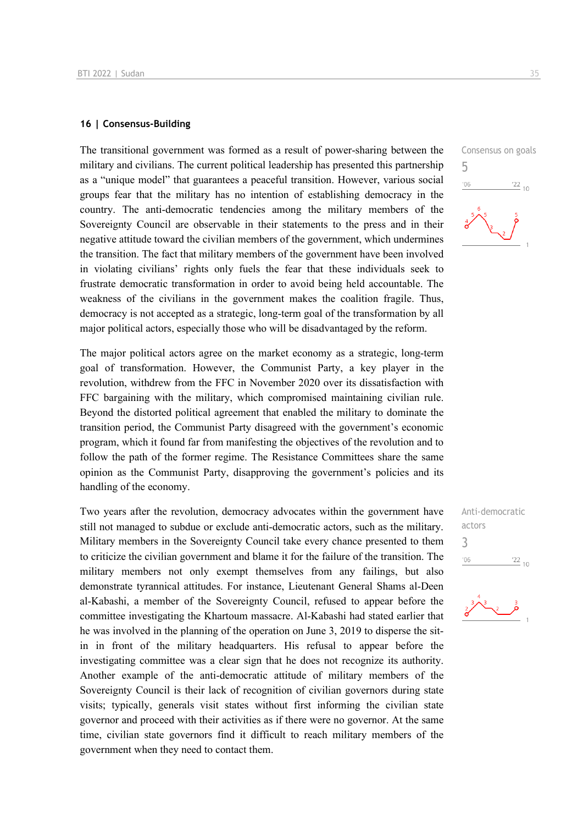#### **16 | Consensus-Building**

The transitional government was formed as a result of power-sharing between the military and civilians. The current political leadership has presented this partnership as a "unique model" that guarantees a peaceful transition. However, various social groups fear that the military has no intention of establishing democracy in the country. The anti-democratic tendencies among the military members of the Sovereignty Council are observable in their statements to the press and in their negative attitude toward the civilian members of the government, which undermines the transition. The fact that military members of the government have been involved in violating civilians' rights only fuels the fear that these individuals seek to frustrate democratic transformation in order to avoid being held accountable. The weakness of the civilians in the government makes the coalition fragile. Thus, democracy is not accepted as a strategic, long-term goal of the transformation by all major political actors, especially those who will be disadvantaged by the reform.

The major political actors agree on the market economy as a strategic, long-term goal of transformation. However, the Communist Party, a key player in the revolution, withdrew from the FFC in November 2020 over its dissatisfaction with FFC bargaining with the military, which compromised maintaining civilian rule. Beyond the distorted political agreement that enabled the military to dominate the transition period, the Communist Party disagreed with the government's economic program, which it found far from manifesting the objectives of the revolution and to follow the path of the former regime. The Resistance Committees share the same opinion as the Communist Party, disapproving the government's policies and its handling of the economy.

Two years after the revolution, democracy advocates within the government have still not managed to subdue or exclude anti-democratic actors, such as the military. Military members in the Sovereignty Council take every chance presented to them to criticize the civilian government and blame it for the failure of the transition. The military members not only exempt themselves from any failings, but also demonstrate tyrannical attitudes. For instance, Lieutenant General Shams al-Deen al-Kabashi, a member of the Sovereignty Council, refused to appear before the committee investigating the Khartoum massacre. Al-Kabashi had stated earlier that he was involved in the planning of the operation on June 3, 2019 to disperse the sitin in front of the military headquarters. His refusal to appear before the investigating committee was a clear sign that he does not recognize its authority. Another example of the anti-democratic attitude of military members of the Sovereignty Council is their lack of recognition of civilian governors during state visits; typically, generals visit states without first informing the civilian state governor and proceed with their activities as if there were no governor. At the same time, civilian state governors find it difficult to reach military members of the government when they need to contact them.



Anti-democratic actors 3 $06'$  $\frac{22}{10}$ 

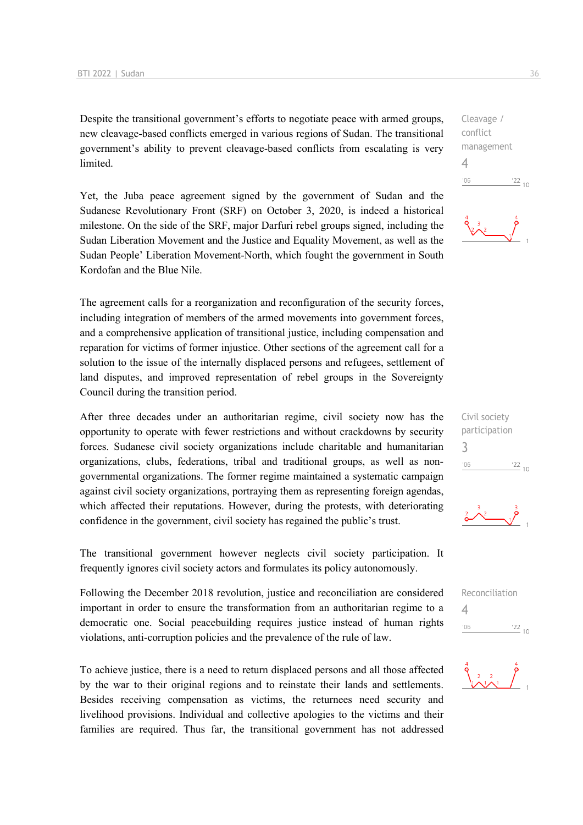Despite the transitional government's efforts to negotiate peace with armed groups, new cleavage-based conflicts emerged in various regions of Sudan. The transitional government's ability to prevent cleavage-based conflicts from escalating is very limited.

Yet, the Juba peace agreement signed by the government of Sudan and the Sudanese Revolutionary Front (SRF) on October 3, 2020, is indeed a historical milestone. On the side of the SRF, major Darfuri rebel groups signed, including the Sudan Liberation Movement and the Justice and Equality Movement, as well as the Sudan People' Liberation Movement-North, which fought the government in South Kordofan and the Blue Nile.

The agreement calls for a reorganization and reconfiguration of the security forces, including integration of members of the armed movements into government forces, and a comprehensive application of transitional justice, including compensation and reparation for victims of former injustice. Other sections of the agreement call for a solution to the issue of the internally displaced persons and refugees, settlement of land disputes, and improved representation of rebel groups in the Sovereignty Council during the transition period.

After three decades under an authoritarian regime, civil society now has the opportunity to operate with fewer restrictions and without crackdowns by security forces. Sudanese civil society organizations include charitable and humanitarian organizations, clubs, federations, tribal and traditional groups, as well as nongovernmental organizations. The former regime maintained a systematic campaign against civil society organizations, portraying them as representing foreign agendas, which affected their reputations. However, during the protests, with deteriorating confidence in the government, civil society has regained the public's trust.

The transitional government however neglects civil society participation. It frequently ignores civil society actors and formulates its policy autonomously.

Following the December 2018 revolution, justice and reconciliation are considered important in order to ensure the transformation from an authoritarian regime to a democratic one. Social peacebuilding requires justice instead of human rights violations, anti-corruption policies and the prevalence of the rule of law.

To achieve justice, there is a need to return displaced persons and all those affected by the war to their original regions and to reinstate their lands and settlements. Besides receiving compensation as victims, the returnees need security and livelihood provisions. Individual and collective apologies to the victims and their families are required. Thus far, the transitional government has not addressed

Cleavage / conflict management 4  $\frac{22}{10}$  $n<sub>0</sub>$ 





 $\mathbf{r}^2$ 

Reconciliation 4 $-06$  $\frac{22}{10}$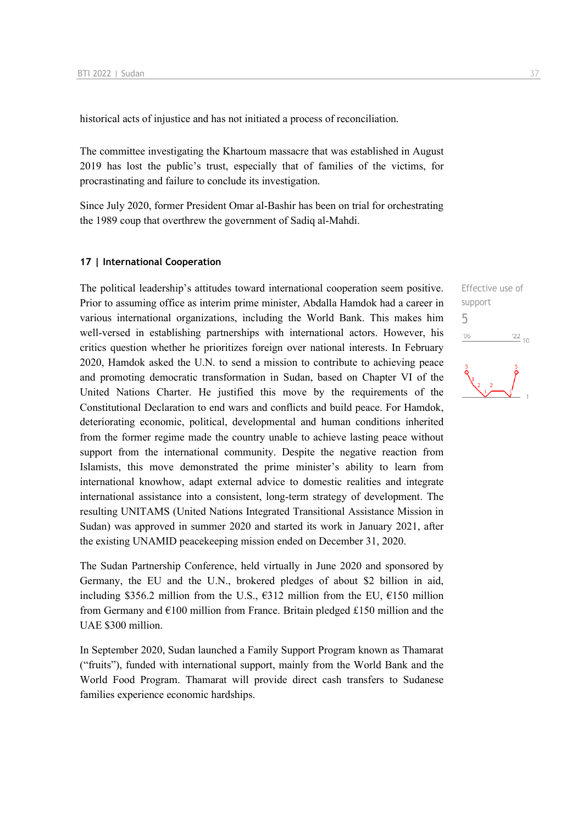historical acts of injustice and has not initiated a process of reconciliation.

The committee investigating the Khartoum massacre that was established in August 2019 has lost the public's trust, especially that of families of the victims, for procrastinating and failure to conclude its investigation.

Since July 2020, former President Omar al-Bashir has been on trial for orchestrating the 1989 coup that overthrew the government of Sadiq al-Mahdi.

#### **17 | International Cooperation**

The political leadership's attitudes toward international cooperation seem positive. Prior to assuming office as interim prime minister, Abdalla Hamdok had a career in various international organizations, including the World Bank. This makes him well-versed in establishing partnerships with international actors. However, his critics question whether he prioritizes foreign over national interests. In February 2020, Hamdok asked the U.N. to send a mission to contribute to achieving peace and promoting democratic transformation in Sudan, based on Chapter VI of the United Nations Charter. He justified this move by the requirements of the Constitutional Declaration to end wars and conflicts and build peace. For Hamdok, deteriorating economic, political, developmental and human conditions inherited from the former regime made the country unable to achieve lasting peace without support from the international community. Despite the negative reaction from Islamists, this move demonstrated the prime minister's ability to learn from international knowhow, adapt external advice to domestic realities and integrate international assistance into a consistent, long-term strategy of development. The resulting UNITAMS (United Nations Integrated Transitional Assistance Mission in Sudan) was approved in summer 2020 and started its work in January 2021, after the existing UNAMID peacekeeping mission ended on December 31, 2020.

The Sudan Partnership Conference, held virtually in June 2020 and sponsored by Germany, the EU and the U.N., brokered pledges of about \$2 billion in aid, including \$356.2 million from the U.S.,  $\epsilon$ 312 million from the EU,  $\epsilon$ 150 million from Germany and  $E100$  million from France. Britain pledged £150 million and the UAE \$300 million.

In September 2020, Sudan launched a Family Support Program known as Thamarat ("fruits"), funded with international support, mainly from the World Bank and the World Food Program. Thamarat will provide direct cash transfers to Sudanese families experience economic hardships.

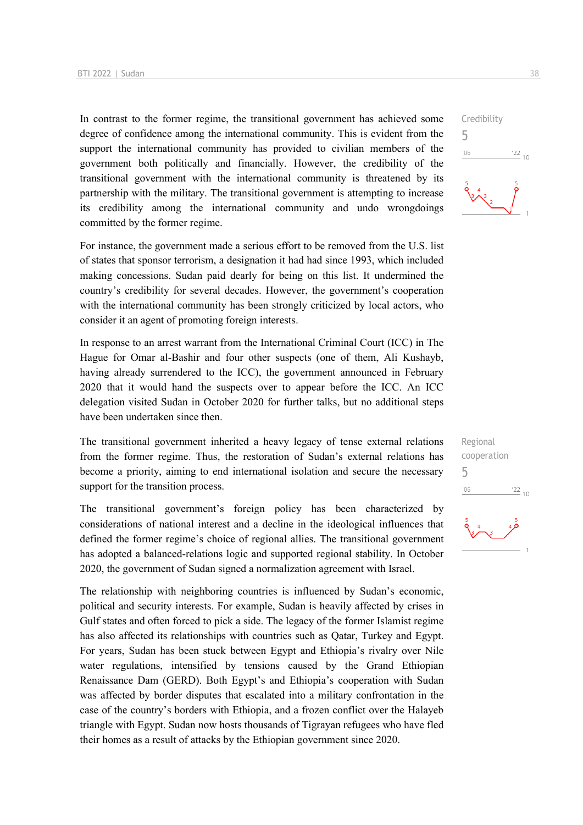In contrast to the former regime, the transitional government has achieved some degree of confidence among the international community. This is evident from the support the international community has provided to civilian members of the government both politically and financially. However, the credibility of the transitional government with the international community is threatened by its partnership with the military. The transitional government is attempting to increase its credibility among the international community and undo wrongdoings committed by the former regime.

For instance, the government made a serious effort to be removed from the U.S. list of states that sponsor terrorism, a designation it had had since 1993, which included making concessions. Sudan paid dearly for being on this list. It undermined the country's credibility for several decades. However, the government's cooperation with the international community has been strongly criticized by local actors, who consider it an agent of promoting foreign interests.

In response to an arrest warrant from the International Criminal Court (ICC) in The Hague for Omar al-Bashir and four other suspects (one of them, Ali Kushayb, having already surrendered to the ICC), the government announced in February 2020 that it would hand the suspects over to appear before the ICC. An ICC delegation visited Sudan in October 2020 for further talks, but no additional steps have been undertaken since then.

The transitional government inherited a heavy legacy of tense external relations from the former regime. Thus, the restoration of Sudan's external relations has become a priority, aiming to end international isolation and secure the necessary support for the transition process.

The transitional government's foreign policy has been characterized by considerations of national interest and a decline in the ideological influences that defined the former regime's choice of regional allies. The transitional government has adopted a balanced-relations logic and supported regional stability. In October 2020, the government of Sudan signed a normalization agreement with Israel.

The relationship with neighboring countries is influenced by Sudan's economic, political and security interests. For example, Sudan is heavily affected by crises in Gulf states and often forced to pick a side. The legacy of the former Islamist regime has also affected its relationships with countries such as Qatar, Turkey and Egypt. For years, Sudan has been stuck between Egypt and Ethiopia's rivalry over Nile water regulations, intensified by tensions caused by the Grand Ethiopian Renaissance Dam (GERD). Both Egypt's and Ethiopia's cooperation with Sudan was affected by border disputes that escalated into a military confrontation in the case of the country's borders with Ethiopia, and a frozen conflict over the Halayeb triangle with Egypt. Sudan now hosts thousands of Tigrayan refugees who have fled their homes as a result of attacks by the Ethiopian government since 2020.





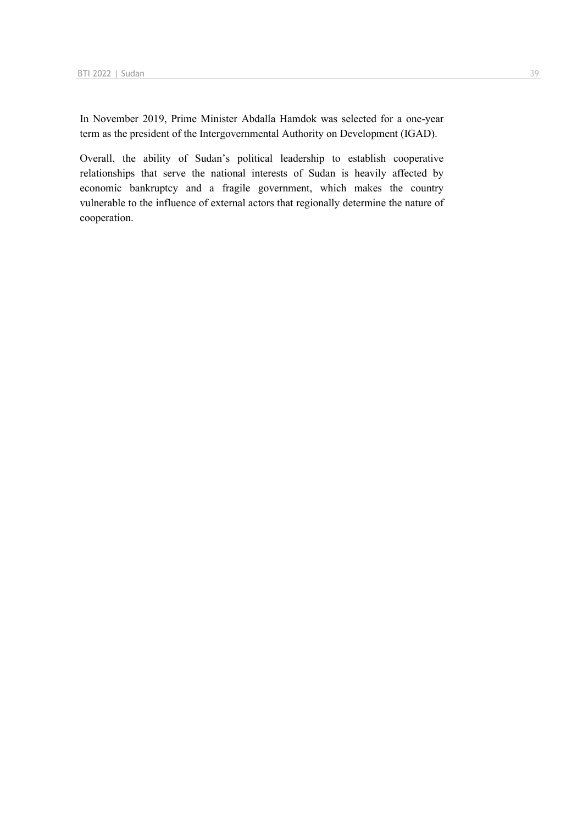In November 2019, Prime Minister Abdalla Hamdok was selected for a one-year term as the president of the Intergovernmental Authority on Development (IGAD).

Overall, the ability of Sudan's political leadership to establish cooperative relationships that serve the national interests of Sudan is heavily affected by economic bankruptcy and a fragile government, which makes the country vulnerable to the influence of external actors that regionally determine the nature of cooperation.